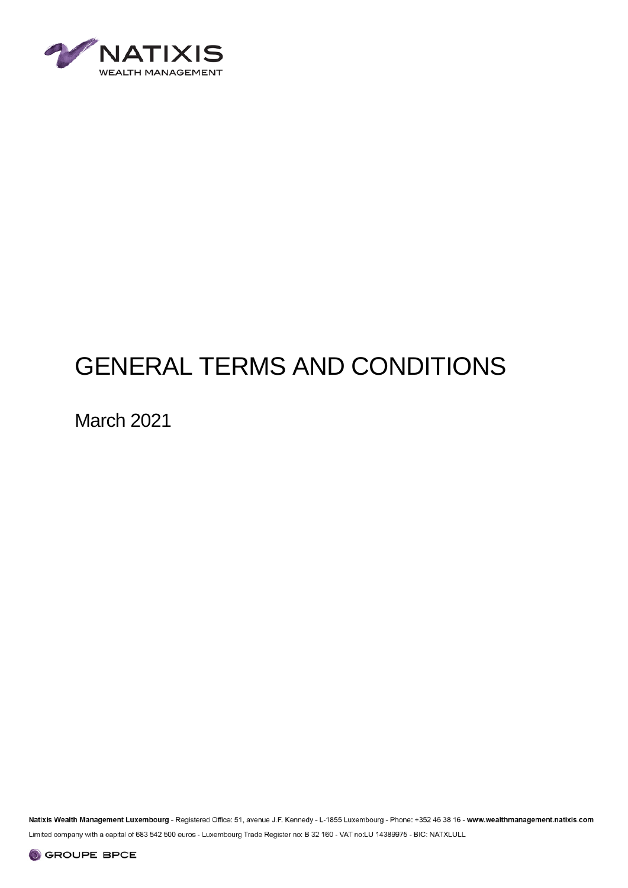

# GENERAL TERMS AND CONDITIONS

March 2021

Natixis Wealth Management Luxembourg - Registered Office: 51, avenue J.F. Kennedy - L-1855 Luxembourg - Phone: +352 46 38 16 - www.wealthmanagement.natixis.com Limited company with a capital of 683 542 500 euros - Luxembourg Trade Register no: B 32 160 - VAT no:LU 14389975 - BIC: NATXLULL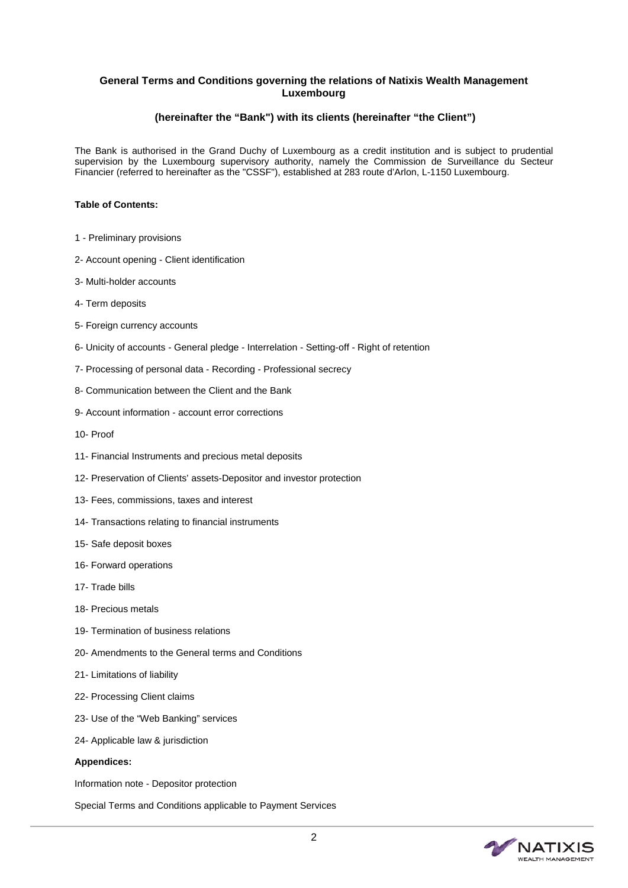# **General Terms and Conditions governing the relations of Natixis Wealth Management Luxembourg**

# **(hereinafter the "Bank") with its clients (hereinafter "the Client")**

The Bank is authorised in the Grand Duchy of Luxembourg as a credit institution and is subject to prudential supervision by the Luxembourg supervisory authority, namely the Commission de Surveillance du Secteur Financier (referred to hereinafter as the "CSSF"), established at 283 route d'Arlon, L-1150 Luxembourg.

# **Table of Contents:**

- 1 Preliminary provisions
- 2- Account opening Client identification
- 3- Multi-holder accounts
- 4- Term deposits
- 5- Foreign currency accounts
- 6- Unicity of accounts General pledge Interrelation Setting-off Right of retention
- 7- Processing of personal data Recording Professional secrecy
- 8- Communication between the Client and the Bank
- 9- Account information account error corrections
- 10- Proof
- 11- Financial Instruments and precious metal deposits
- 12- Preservation of Clients' assets-Depositor and investor protection
- 13- Fees, commissions, taxes and interest
- 14- Transactions relating to financial instruments
- 15- Safe deposit boxes
- 16- Forward operations
- 17- Trade bills
- 18- Precious metals
- 19- Termination of business relations
- 20- Amendments to the General terms and Conditions
- 21- Limitations of liability
- 22- Processing Client claims
- 23- Use of the "Web Banking" services
- 24- Applicable law & jurisdiction

#### **Appendices:**

Information note - Depositor protection

Special Terms and Conditions applicable to Payment Services

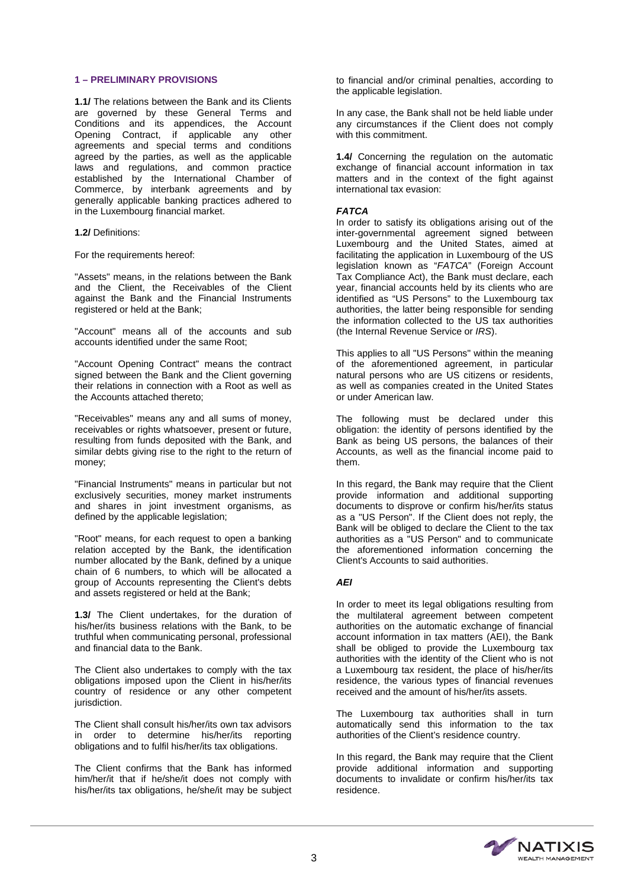#### **1 – PRELIMINARY PROVISIONS**

**1.1/** The relations between the Bank and its Clients are governed by these General Terms and Conditions and its appendices, the Account Opening Contract, if applicable any other agreements and special terms and conditions agreed by the parties, as well as the applicable laws and regulations, and common practice established by the International Chamber of Commerce, by interbank agreements and by generally applicable banking practices adhered to in the Luxembourg financial market.

**1.2/** Definitions:

For the requirements hereof:

"Assets" means, in the relations between the Bank and the Client, the Receivables of the Client against the Bank and the Financial Instruments registered or held at the Bank;

"Account" means all of the accounts and sub accounts identified under the same Root;

"Account Opening Contract" means the contract signed between the Bank and the Client governing their relations in connection with a Root as well as the Accounts attached thereto;

"Receivables" means any and all sums of money, receivables or rights whatsoever, present or future, resulting from funds deposited with the Bank, and similar debts giving rise to the right to the return of money;

"Financial Instruments" means in particular but not exclusively securities, money market instruments and shares in joint investment organisms, as defined by the applicable legislation;

"Root" means, for each request to open a banking relation accepted by the Bank, the identification number allocated by the Bank, defined by a unique chain of 6 numbers, to which will be allocated a group of Accounts representing the Client's debts and assets registered or held at the Bank;

**1.3/** The Client undertakes, for the duration of his/her/its business relations with the Bank, to be truthful when communicating personal, professional and financial data to the Bank.

The Client also undertakes to comply with the tax obligations imposed upon the Client in his/her/its country of residence or any other competent jurisdiction.

The Client shall consult his/her/its own tax advisors in order to determine his/her/its reporting obligations and to fulfil his/her/its tax obligations.

The Client confirms that the Bank has informed him/her/it that if he/she/it does not comply with his/her/its tax obligations, he/she/it may be subject to financial and/or criminal penalties, according to the applicable legislation.

In any case, the Bank shall not be held liable under any circumstances if the Client does not comply with this commitment.

**1.4/** Concerning the regulation on the automatic exchange of financial account information in tax matters and in the context of the fight against international tax evasion:

# *FATCA*

In order to satisfy its obligations arising out of the inter-governmental agreement signed between Luxembourg and the United States, aimed at facilitating the application in Luxembourg of the US legislation known as "*FATCA*" (Foreign Account Tax Compliance Act), the Bank must declare, each year, financial accounts held by its clients who are identified as "US Persons" to the Luxembourg tax authorities, the latter being responsible for sending the information collected to the US tax authorities (the Internal Revenue Service or *IRS*).

This applies to all "US Persons" within the meaning of the aforementioned agreement, in particular natural persons who are US citizens or residents, as well as companies created in the United States or under American law.

The following must be declared under this obligation: the identity of persons identified by the Bank as being US persons, the balances of their Accounts, as well as the financial income paid to them.

In this regard, the Bank may require that the Client provide information and additional supporting documents to disprove or confirm his/her/its status as a "US Person". If the Client does not reply, the Bank will be obliged to declare the Client to the tax authorities as a "US Person" and to communicate the aforementioned information concerning the Client's Accounts to said authorities.

# *AEI*

In order to meet its legal obligations resulting from the multilateral agreement between competent authorities on the automatic exchange of financial account information in tax matters (AEI), the Bank shall be obliged to provide the Luxembourg tax authorities with the identity of the Client who is not a Luxembourg tax resident, the place of his/her/its residence, the various types of financial revenues received and the amount of his/her/its assets.

The Luxembourg tax authorities shall in turn automatically send this information to the tax authorities of the Client's residence country.

In this regard, the Bank may require that the Client provide additional information and supporting documents to invalidate or confirm his/her/its tax residence.

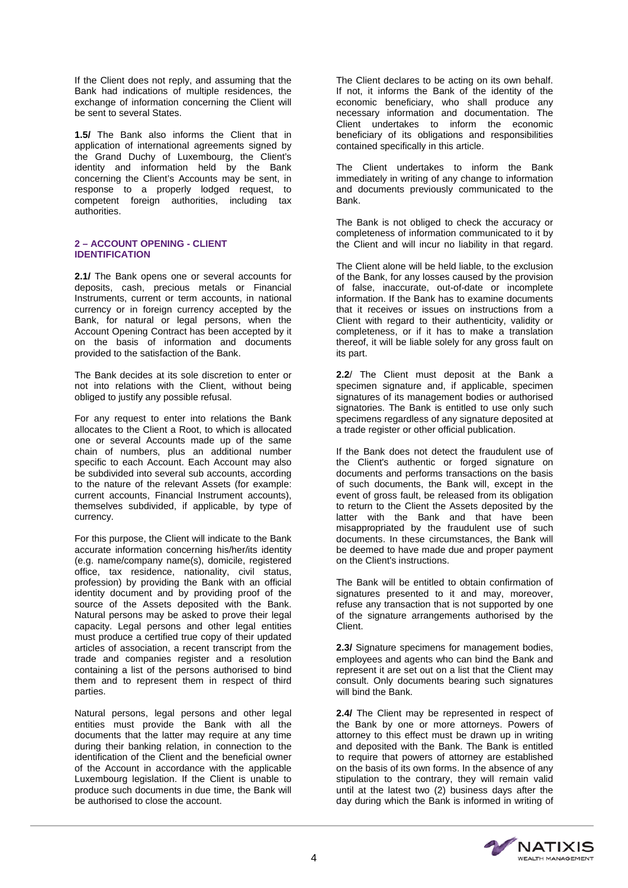If the Client does not reply, and assuming that the Bank had indications of multiple residences, the exchange of information concerning the Client will be sent to several States.

**1.5/** The Bank also informs the Client that in application of international agreements signed by the Grand Duchy of Luxembourg, the Client's identity and information held by the Bank concerning the Client's Accounts may be sent, in response to a properly lodged request, to competent foreign authorities, including tax authorities.

# **2 – ACCOUNT OPENING - CLIENT IDENTIFICATION**

**2.1/** The Bank opens one or several accounts for deposits, cash, precious metals or Financial Instruments, current or term accounts, in national currency or in foreign currency accepted by the Bank, for natural or legal persons, when the Account Opening Contract has been accepted by it on the basis of information and documents provided to the satisfaction of the Bank.

The Bank decides at its sole discretion to enter or not into relations with the Client, without being obliged to justify any possible refusal.

For any request to enter into relations the Bank allocates to the Client a Root, to which is allocated one or several Accounts made up of the same chain of numbers, plus an additional number specific to each Account. Each Account may also be subdivided into several sub accounts, according to the nature of the relevant Assets (for example: current accounts, Financial Instrument accounts), themselves subdivided, if applicable, by type of currency.

For this purpose, the Client will indicate to the Bank accurate information concerning his/her/its identity (e.g. name/company name(s), domicile, registered office, tax residence, nationality, civil status, profession) by providing the Bank with an official identity document and by providing proof of the source of the Assets deposited with the Bank. Natural persons may be asked to prove their legal capacity. Legal persons and other legal entities must produce a certified true copy of their updated articles of association, a recent transcript from the trade and companies register and a resolution containing a list of the persons authorised to bind them and to represent them in respect of third parties.

Natural persons, legal persons and other legal entities must provide the Bank with all the documents that the latter may require at any time during their banking relation, in connection to the identification of the Client and the beneficial owner of the Account in accordance with the applicable Luxembourg legislation. If the Client is unable to produce such documents in due time, the Bank will be authorised to close the account.

The Client declares to be acting on its own behalf. If not, it informs the Bank of the identity of the economic beneficiary, who shall produce any necessary information and documentation. The Client undertakes to inform the economic beneficiary of its obligations and responsibilities contained specifically in this article.

The Client undertakes to inform the Bank immediately in writing of any change to information and documents previously communicated to the Bank.

The Bank is not obliged to check the accuracy or completeness of information communicated to it by the Client and will incur no liability in that regard.

The Client alone will be held liable, to the exclusion of the Bank, for any losses caused by the provision of false, inaccurate, out-of-date or incomplete information. If the Bank has to examine documents that it receives or issues on instructions from a Client with regard to their authenticity, validity or completeness, or if it has to make a translation thereof, it will be liable solely for any gross fault on its part.

**2.2**/ The Client must deposit at the Bank a specimen signature and, if applicable, specimen signatures of its management bodies or authorised signatories. The Bank is entitled to use only such specimens regardless of any signature deposited at a trade register or other official publication.

If the Bank does not detect the fraudulent use of the Client's authentic or forged signature on documents and performs transactions on the basis of such documents, the Bank will, except in the event of gross fault, be released from its obligation to return to the Client the Assets deposited by the latter with the Bank and that have been misappropriated by the fraudulent use of such documents. In these circumstances, the Bank will be deemed to have made due and proper payment on the Client's instructions.

The Bank will be entitled to obtain confirmation of signatures presented to it and may, moreover, refuse any transaction that is not supported by one of the signature arrangements authorised by the Client.

**2.3/** Signature specimens for management bodies, employees and agents who can bind the Bank and represent it are set out on a list that the Client may consult. Only documents bearing such signatures will bind the Bank.

2.4/ The Client may be represented in respect of the Bank by one or more attorneys. Powers of attorney to this effect must be drawn up in writing and deposited with the Bank. The Bank is entitled to require that powers of attorney are established on the basis of its own forms. In the absence of any stipulation to the contrary, they will remain valid until at the latest two (2) business days after the day during which the Bank is informed in writing of

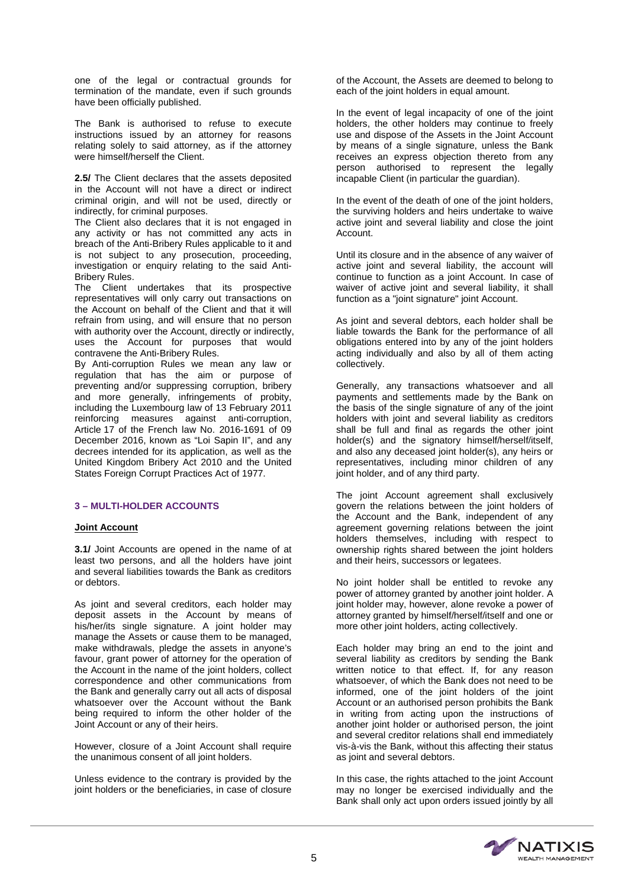one of the legal or contractual grounds for termination of the mandate, even if such grounds have been officially published.

The Bank is authorised to refuse to execute instructions issued by an attorney for reasons relating solely to said attorney, as if the attorney were himself/herself the Client.

**2.5/** The Client declares that the assets deposited in the Account will not have a direct or indirect criminal origin, and will not be used, directly or indirectly, for criminal purposes.

The Client also declares that it is not engaged in any activity or has not committed any acts in breach of the Anti-Bribery Rules applicable to it and is not subject to any prosecution, proceeding, investigation or enquiry relating to the said Anti-Bribery Rules.

The Client undertakes that its prospective representatives will only carry out transactions on the Account on behalf of the Client and that it will refrain from using, and will ensure that no person with authority over the Account, directly or indirectly, uses the Account for purposes that would contravene the Anti-Bribery Rules.

By Anti-corruption Rules we mean any law or regulation that has the aim or purpose of preventing and/or suppressing corruption, bribery and more generally, infringements of probity, including the Luxembourg law of 13 February 2011 reinforcing measures against anti-corruption, Article 17 of the French law No. 2016-1691 of 09 December 2016, known as "Loi Sapin II", and any decrees intended for its application, as well as the United Kingdom Bribery Act 2010 and the United States Foreign Corrupt Practices Act of 1977.

#### **3 – MULTI-HOLDER ACCOUNTS**

# **Joint Account**

**3.1/** Joint Accounts are opened in the name of at least two persons, and all the holders have joint and several liabilities towards the Bank as creditors or debtors.

As joint and several creditors, each holder may deposit assets in the Account by means of his/her/its single signature. A joint holder may manage the Assets or cause them to be managed, make withdrawals, pledge the assets in anyone's favour, grant power of attorney for the operation of the Account in the name of the joint holders, collect correspondence and other communications from the Bank and generally carry out all acts of disposal whatsoever over the Account without the Bank being required to inform the other holder of the Joint Account or any of their heirs.

However, closure of a Joint Account shall require the unanimous consent of all joint holders.

Unless evidence to the contrary is provided by the joint holders or the beneficiaries, in case of closure of the Account, the Assets are deemed to belong to each of the joint holders in equal amount.

In the event of legal incapacity of one of the joint holders, the other holders may continue to freely use and dispose of the Assets in the Joint Account by means of a single signature, unless the Bank receives an express objection thereto from any person authorised to represent the legally incapable Client (in particular the guardian).

In the event of the death of one of the joint holders, the surviving holders and heirs undertake to waive active joint and several liability and close the joint Account.

Until its closure and in the absence of any waiver of active joint and several liability, the account will continue to function as a joint Account. In case of waiver of active joint and several liability, it shall function as a "joint signature" joint Account.

As joint and several debtors, each holder shall be liable towards the Bank for the performance of all obligations entered into by any of the joint holders acting individually and also by all of them acting collectively.

Generally, any transactions whatsoever and all payments and settlements made by the Bank on the basis of the single signature of any of the joint holders with joint and several liability as creditors shall be full and final as regards the other joint holder(s) and the signatory himself/herself/itself, and also any deceased joint holder(s), any heirs or representatives, including minor children of any joint holder, and of any third party.

The joint Account agreement shall exclusively govern the relations between the joint holders of the Account and the Bank, independent of any agreement governing relations between the joint holders themselves, including with respect to ownership rights shared between the joint holders and their heirs, successors or legatees.

No joint holder shall be entitled to revoke any power of attorney granted by another joint holder. A joint holder may, however, alone revoke a power of attorney granted by himself/herself/itself and one or more other joint holders, acting collectively.

Each holder may bring an end to the joint and several liability as creditors by sending the Bank written notice to that effect. If, for any reason whatsoever, of which the Bank does not need to be informed, one of the joint holders of the joint Account or an authorised person prohibits the Bank in writing from acting upon the instructions of another joint holder or authorised person, the joint and several creditor relations shall end immediately vis-à-vis the Bank, without this affecting their status as joint and several debtors.

In this case, the rights attached to the joint Account may no longer be exercised individually and the Bank shall only act upon orders issued jointly by all

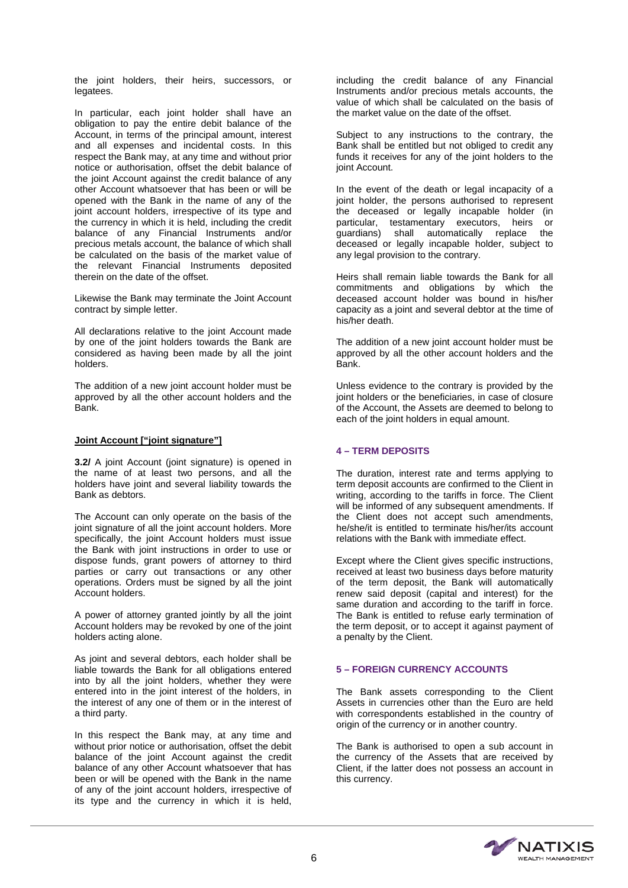the joint holders, their heirs, successors, or legatees.

In particular, each joint holder shall have an obligation to pay the entire debit balance of the Account, in terms of the principal amount, interest and all expenses and incidental costs. In this respect the Bank may, at any time and without prior notice or authorisation, offset the debit balance of the joint Account against the credit balance of any other Account whatsoever that has been or will be opened with the Bank in the name of any of the joint account holders, irrespective of its type and the currency in which it is held, including the credit balance of any Financial Instruments and/or precious metals account, the balance of which shall be calculated on the basis of the market value of the relevant Financial Instruments deposited therein on the date of the offset.

Likewise the Bank may terminate the Joint Account contract by simple letter.

All declarations relative to the joint Account made by one of the joint holders towards the Bank are considered as having been made by all the joint holders.

The addition of a new joint account holder must be approved by all the other account holders and the Bank.

#### **Joint Account ["joint signature"]**

**3.2/** A joint Account (joint signature) is opened in the name of at least two persons, and all the holders have joint and several liability towards the Bank as debtors.

The Account can only operate on the basis of the joint signature of all the joint account holders. More specifically, the joint Account holders must issue the Bank with joint instructions in order to use or dispose funds, grant powers of attorney to third parties or carry out transactions or any other operations. Orders must be signed by all the joint Account holders.

A power of attorney granted jointly by all the joint Account holders may be revoked by one of the joint holders acting alone.

As joint and several debtors, each holder shall be liable towards the Bank for all obligations entered into by all the joint holders, whether they were entered into in the joint interest of the holders, in the interest of any one of them or in the interest of a third party.

In this respect the Bank may, at any time and without prior notice or authorisation, offset the debit balance of the joint Account against the credit balance of any other Account whatsoever that has been or will be opened with the Bank in the name of any of the joint account holders, irrespective of its type and the currency in which it is held,

including the credit balance of any Financial Instruments and/or precious metals accounts, the value of which shall be calculated on the basis of the market value on the date of the offset.

Subject to any instructions to the contrary, the Bank shall be entitled but not obliged to credit any funds it receives for any of the joint holders to the joint Account.

In the event of the death or legal incapacity of a joint holder, the persons authorised to represent the deceased or legally incapable holder (in particular, testamentary executors, heirs or guardians) shall automatically replace the deceased or legally incapable holder, subject to any legal provision to the contrary.

Heirs shall remain liable towards the Bank for all commitments and obligations by which the deceased account holder was bound in his/her capacity as a joint and several debtor at the time of his/her death.

The addition of a new joint account holder must be approved by all the other account holders and the Bank.

Unless evidence to the contrary is provided by the joint holders or the beneficiaries, in case of closure of the Account, the Assets are deemed to belong to each of the joint holders in equal amount.

# **4 – TERM DEPOSITS**

The duration, interest rate and terms applying to term deposit accounts are confirmed to the Client in writing, according to the tariffs in force. The Client will be informed of any subsequent amendments. If the Client does not accept such amendments, he/she/it is entitled to terminate his/her/its account relations with the Bank with immediate effect.

Except where the Client gives specific instructions, received at least two business days before maturity of the term deposit, the Bank will automatically renew said deposit (capital and interest) for the same duration and according to the tariff in force. The Bank is entitled to refuse early termination of the term deposit, or to accept it against payment of a penalty by the Client.

# **5 – FOREIGN CURRENCY ACCOUNTS**

The Bank assets corresponding to the Client Assets in currencies other than the Euro are held with correspondents established in the country of origin of the currency or in another country.

The Bank is authorised to open a sub account in the currency of the Assets that are received by Client, if the latter does not possess an account in this currency.

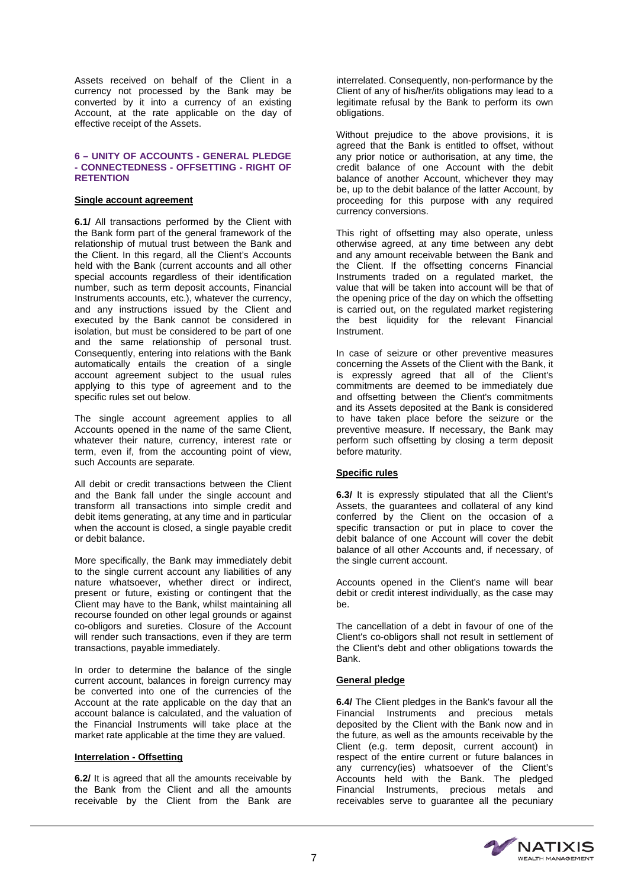Assets received on behalf of the Client in a currency not processed by the Bank may be converted by it into a currency of an existing Account, at the rate applicable on the day of effective receipt of the Assets.

#### **6 – UNITY OF ACCOUNTS - GENERAL PLEDGE - CONNECTEDNESS - OFFSETTING - RIGHT OF RETENTION**

#### **Single account agreement**

**6.1/** All transactions performed by the Client with the Bank form part of the general framework of the relationship of mutual trust between the Bank and the Client. In this regard, all the Client's Accounts held with the Bank (current accounts and all other special accounts regardless of their identification number, such as term deposit accounts, Financial Instruments accounts, etc.), whatever the currency, and any instructions issued by the Client and executed by the Bank cannot be considered in isolation, but must be considered to be part of one and the same relationship of personal trust. Consequently, entering into relations with the Bank automatically entails the creation of a single account agreement subject to the usual rules applying to this type of agreement and to the specific rules set out below.

The single account agreement applies to all Accounts opened in the name of the same Client, whatever their nature, currency, interest rate or term, even if, from the accounting point of view, such Accounts are separate.

All debit or credit transactions between the Client and the Bank fall under the single account and transform all transactions into simple credit and debit items generating, at any time and in particular when the account is closed, a single payable credit or debit balance.

More specifically, the Bank may immediately debit to the single current account any liabilities of any nature whatsoever, whether direct or indirect, present or future, existing or contingent that the Client may have to the Bank, whilst maintaining all recourse founded on other legal grounds or against co-obligors and sureties. Closure of the Account will render such transactions, even if they are term transactions, payable immediately.

In order to determine the balance of the single current account, balances in foreign currency may be converted into one of the currencies of the Account at the rate applicable on the day that an account balance is calculated, and the valuation of the Financial Instruments will take place at the market rate applicable at the time they are valued.

#### **Interrelation - Offsetting**

**6.2/** It is agreed that all the amounts receivable by the Bank from the Client and all the amounts receivable by the Client from the Bank are interrelated. Consequently, non-performance by the Client of any of his/her/its obligations may lead to a legitimate refusal by the Bank to perform its own obligations.

Without prejudice to the above provisions, it is agreed that the Bank is entitled to offset, without any prior notice or authorisation, at any time, the credit balance of one Account with the debit balance of another Account, whichever they may be, up to the debit balance of the latter Account, by proceeding for this purpose with any required currency conversions.

This right of offsetting may also operate, unless otherwise agreed, at any time between any debt and any amount receivable between the Bank and the Client. If the offsetting concerns Financial Instruments traded on a regulated market, the value that will be taken into account will be that of the opening price of the day on which the offsetting is carried out, on the regulated market registering the best liquidity for the relevant Financial Instrument.

In case of seizure or other preventive measures concerning the Assets of the Client with the Bank, it is expressly agreed that all of the Client's commitments are deemed to be immediately due and offsetting between the Client's commitments and its Assets deposited at the Bank is considered to have taken place before the seizure or the preventive measure. If necessary, the Bank may perform such offsetting by closing a term deposit before maturity.

#### **Specific rules**

**6.3/** It is expressly stipulated that all the Client's Assets, the guarantees and collateral of any kind conferred by the Client on the occasion of a specific transaction or put in place to cover the debit balance of one Account will cover the debit balance of all other Accounts and, if necessary, of the single current account.

Accounts opened in the Client's name will bear debit or credit interest individually, as the case may be.

The cancellation of a debt in favour of one of the Client's co-obligors shall not result in settlement of the Client's debt and other obligations towards the Bank.

#### **General pledge**

**6.4/** The Client pledges in the Bank's favour all the Financial Instruments and precious metals deposited by the Client with the Bank now and in the future, as well as the amounts receivable by the Client (e.g. term deposit, current account) in respect of the entire current or future balances in any currency(ies) whatsoever of the Client's Accounts held with the Bank. The pledged Financial Instruments, precious metals and receivables serve to guarantee all the pecuniary

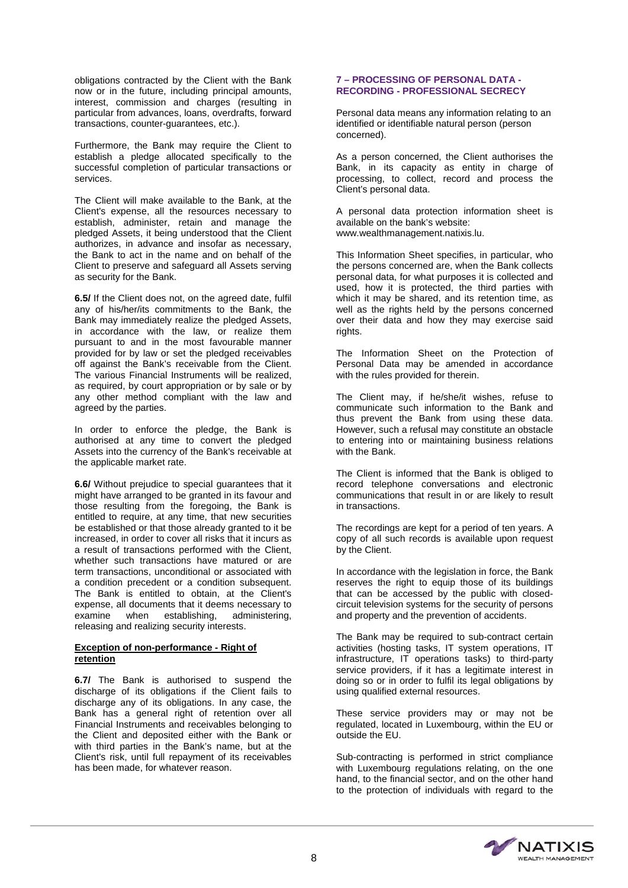obligations contracted by the Client with the Bank now or in the future, including principal amounts, interest, commission and charges (resulting in particular from advances, loans, overdrafts, forward transactions, counter-guarantees, etc.).

Furthermore, the Bank may require the Client to establish a pledge allocated specifically to the successful completion of particular transactions or services.

The Client will make available to the Bank, at the Client's expense, all the resources necessary to establish, administer, retain and manage the pledged Assets, it being understood that the Client authorizes, in advance and insofar as necessary, the Bank to act in the name and on behalf of the Client to preserve and safeguard all Assets serving as security for the Bank.

**6.5/** If the Client does not, on the agreed date, fulfil any of his/her/its commitments to the Bank, the Bank may immediately realize the pledged Assets, in accordance with the law, or realize them pursuant to and in the most favourable manner provided for by law or set the pledged receivables off against the Bank's receivable from the Client. The various Financial Instruments will be realized, as required, by court appropriation or by sale or by any other method compliant with the law and agreed by the parties.

In order to enforce the pledge, the Bank is authorised at any time to convert the pledged Assets into the currency of the Bank's receivable at the applicable market rate.

**6.6/** Without prejudice to special guarantees that it might have arranged to be granted in its favour and those resulting from the foregoing, the Bank is entitled to require, at any time, that new securities be established or that those already granted to it be increased, in order to cover all risks that it incurs as a result of transactions performed with the Client, whether such transactions have matured or are term transactions, unconditional or associated with a condition precedent or a condition subsequent. The Bank is entitled to obtain, at the Client's expense, all documents that it deems necessary to<br>examine when establishing. administering. administering, releasing and realizing security interests.

#### **Exception of non-performance - Right of retention**

**6.7/** The Bank is authorised to suspend the discharge of its obligations if the Client fails to discharge any of its obligations. In any case, the Bank has a general right of retention over all Financial Instruments and receivables belonging to the Client and deposited either with the Bank or with third parties in the Bank's name, but at the Client's risk, until full repayment of its receivables has been made, for whatever reason.

# **7 – PROCESSING OF PERSONAL DATA - RECORDING - PROFESSIONAL SECRECY**

Personal data means any information relating to an identified or identifiable natural person (person concerned).

As a person concerned, the Client authorises the Bank, in its capacity as entity in charge of processing, to collect, record and process the Client's personal data.

A personal data protection information sheet is available on the bank's website: www.wealthmanagement.natixis.lu.

This Information Sheet specifies, in particular, who the persons concerned are, when the Bank collects personal data, for what purposes it is collected and used, how it is protected, the third parties with which it may be shared, and its retention time, as well as the rights held by the persons concerned over their data and how they may exercise said rights.

The Information Sheet on the Protection of Personal Data may be amended in accordance with the rules provided for therein.

The Client may, if he/she/it wishes, refuse to communicate such information to the Bank and thus prevent the Bank from using these data. However, such a refusal may constitute an obstacle to entering into or maintaining business relations with the Bank.

The Client is informed that the Bank is obliged to record telephone conversations and electronic communications that result in or are likely to result in transactions.

The recordings are kept for a period of ten years. A copy of all such records is available upon request by the Client.

In accordance with the legislation in force, the Bank reserves the right to equip those of its buildings that can be accessed by the public with closedcircuit television systems for the security of persons and property and the prevention of accidents.

The Bank may be required to sub-contract certain activities (hosting tasks, IT system operations, IT infrastructure, IT operations tasks) to third-party service providers, if it has a legitimate interest in doing so or in order to fulfil its legal obligations by using qualified external resources.

These service providers may or may not be regulated, located in Luxembourg, within the EU or outside the EU.

Sub-contracting is performed in strict compliance with Luxembourg regulations relating, on the one hand, to the financial sector, and on the other hand to the protection of individuals with regard to the

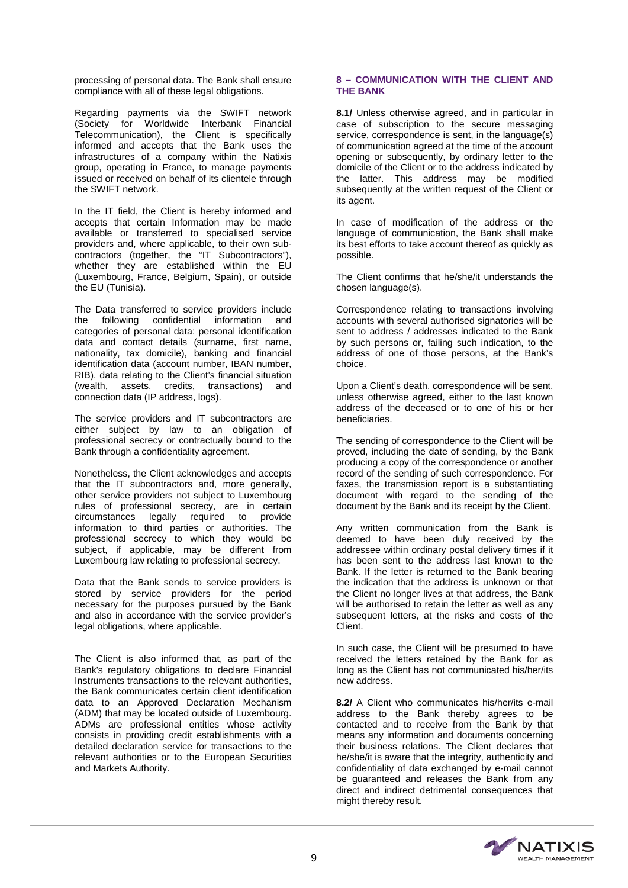processing of personal data. The Bank shall ensure compliance with all of these legal obligations.

Regarding payments via the SWIFT network (Society for Worldwide Interbank Financial Telecommunication), the Client is specifically informed and accepts that the Bank uses the infrastructures of a company within the Natixis group, operating in France, to manage payments issued or received on behalf of its clientele through the SWIFT network.

In the IT field, the Client is hereby informed and accepts that certain Information may be made available or transferred to specialised service providers and, where applicable, to their own subcontractors (together, the "IT Subcontractors"), whether they are established within the EU (Luxembourg, France, Belgium, Spain), or outside the EU (Tunisia).

The Data transferred to service providers include the following confidential information and categories of personal data: personal identification data and contact details (surname, first name, nationality, tax domicile), banking and financial identification data (account number, IBAN number, RIB), data relating to the Client's financial situation (wealth, assets, credits, transactions) and connection data (IP address, logs).

The service providers and IT subcontractors are either subject by law to an obligation of professional secrecy or contractually bound to the Bank through a confidentiality agreement.

Nonetheless, the Client acknowledges and accepts that the IT subcontractors and, more generally, other service providers not subject to Luxembourg rules of professional secrecy, are in certain circumstances legally required to provide information to third parties or authorities. The professional secrecy to which they would be subject, if applicable, may be different from Luxembourg law relating to professional secrecy.

Data that the Bank sends to service providers is stored by service providers for the period necessary for the purposes pursued by the Bank and also in accordance with the service provider's legal obligations, where applicable.

The Client is also informed that, as part of the Bank's regulatory obligations to declare Financial Instruments transactions to the relevant authorities, the Bank communicates certain client identification data to an Approved Declaration Mechanism (ADM) that may be located outside of Luxembourg. ADMs are professional entities whose activity consists in providing credit establishments with a detailed declaration service for transactions to the relevant authorities or to the European Securities and Markets Authority.

# **8 – COMMUNICATION WITH THE CLIENT AND THE BANK**

**8.1/** Unless otherwise agreed, and in particular in case of subscription to the secure messaging service, correspondence is sent, in the language(s) of communication agreed at the time of the account opening or subsequently, by ordinary letter to the domicile of the Client or to the address indicated by the latter. This address may be modified subsequently at the written request of the Client or its agent.

In case of modification of the address or the language of communication, the Bank shall make its best efforts to take account thereof as quickly as possible.

The Client confirms that he/she/it understands the chosen language(s).

Correspondence relating to transactions involving accounts with several authorised signatories will be sent to address / addresses indicated to the Bank by such persons or, failing such indication, to the address of one of those persons, at the Bank's choice.

Upon a Client's death, correspondence will be sent, unless otherwise agreed, either to the last known address of the deceased or to one of his or her beneficiaries.

The sending of correspondence to the Client will be proved, including the date of sending, by the Bank producing a copy of the correspondence or another record of the sending of such correspondence. For faxes, the transmission report is a substantiating document with regard to the sending of the document by the Bank and its receipt by the Client.

Any written communication from the Bank is deemed to have been duly received by the addressee within ordinary postal delivery times if it has been sent to the address last known to the Bank. If the letter is returned to the Bank bearing the indication that the address is unknown or that the Client no longer lives at that address, the Bank will be authorised to retain the letter as well as any subsequent letters, at the risks and costs of the Client.

In such case, the Client will be presumed to have received the letters retained by the Bank for as long as the Client has not communicated his/her/its new address.

**8.2/** A Client who communicates his/her/its e-mail address to the Bank thereby agrees to be contacted and to receive from the Bank by that means any information and documents concerning their business relations. The Client declares that he/she/it is aware that the integrity, authenticity and confidentiality of data exchanged by e-mail cannot be guaranteed and releases the Bank from any direct and indirect detrimental consequences that might thereby result.

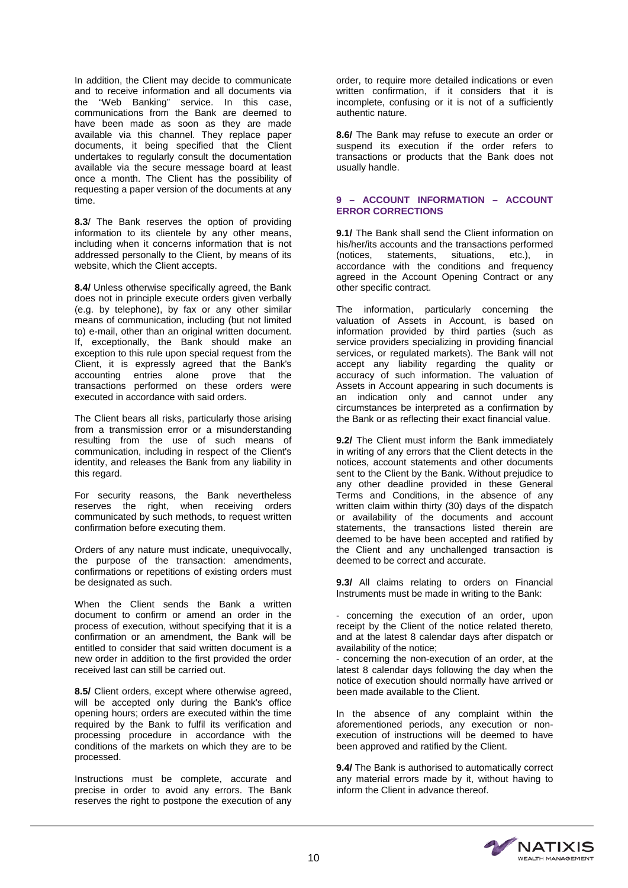In addition, the Client may decide to communicate and to receive information and all documents via the "Web Banking" service. In this case, communications from the Bank are deemed to have been made as soon as they are made available via this channel. They replace paper documents, it being specified that the Client undertakes to regularly consult the documentation available via the secure message board at least once a month. The Client has the possibility of requesting a paper version of the documents at any time.

**8.3**/ The Bank reserves the option of providing information to its clientele by any other means, including when it concerns information that is not addressed personally to the Client, by means of its website, which the Client accepts.

**8.4/** Unless otherwise specifically agreed, the Bank does not in principle execute orders given verbally (e.g. by telephone), by fax or any other similar means of communication, including (but not limited to) e-mail, other than an original written document. If, exceptionally, the Bank should make an exception to this rule upon special request from the Client, it is expressly agreed that the Bank's accounting entries alone prove that the transactions performed on these orders were executed in accordance with said orders.

The Client bears all risks, particularly those arising from a transmission error or a misunderstanding resulting from the use of such means of communication, including in respect of the Client's identity, and releases the Bank from any liability in this regard.

For security reasons, the Bank nevertheless reserves the right, when receiving orders communicated by such methods, to request written confirmation before executing them.

Orders of any nature must indicate, unequivocally, the purpose of the transaction: amendments, confirmations or repetitions of existing orders must be designated as such.

When the Client sends the Bank a written document to confirm or amend an order in the process of execution, without specifying that it is a confirmation or an amendment, the Bank will be entitled to consider that said written document is a new order in addition to the first provided the order received last can still be carried out.

**8.5/** Client orders, except where otherwise agreed, will be accepted only during the Bank's office opening hours; orders are executed within the time required by the Bank to fulfil its verification and processing procedure in accordance with the conditions of the markets on which they are to be processed.

Instructions must be complete, accurate and precise in order to avoid any errors. The Bank reserves the right to postpone the execution of any order, to require more detailed indications or even written confirmation, if it considers that it is incomplete, confusing or it is not of a sufficiently authentic nature.

**8.6/** The Bank may refuse to execute an order or suspend its execution if the order refers to transactions or products that the Bank does not usually handle.

### **9 – ACCOUNT INFORMATION – ACCOUNT ERROR CORRECTIONS**

**9.1/** The Bank shall send the Client information on his/her/its accounts and the transactions performed (notices, statements, situations, etc.), in accordance with the conditions and frequency agreed in the Account Opening Contract or any other specific contract.

The information, particularly concerning the valuation of Assets in Account, is based on information provided by third parties (such as service providers specializing in providing financial services, or regulated markets). The Bank will not accept any liability regarding the quality or accuracy of such information. The valuation of Assets in Account appearing in such documents is an indication only and cannot under any circumstances be interpreted as a confirmation by the Bank or as reflecting their exact financial value.

**9.2/** The Client must inform the Bank immediately in writing of any errors that the Client detects in the notices, account statements and other documents sent to the Client by the Bank. Without prejudice to any other deadline provided in these General Terms and Conditions, in the absence of any written claim within thirty (30) days of the dispatch or availability of the documents and account statements, the transactions listed therein are deemed to be have been accepted and ratified by the Client and any unchallenged transaction is deemed to be correct and accurate.

**9.3/** All claims relating to orders on Financial Instruments must be made in writing to the Bank:

- concerning the execution of an order, upon receipt by the Client of the notice related thereto, and at the latest 8 calendar days after dispatch or availability of the notice;

- concerning the non-execution of an order, at the latest 8 calendar days following the day when the notice of execution should normally have arrived or been made available to the Client.

In the absence of any complaint within the aforementioned periods, any execution or nonexecution of instructions will be deemed to have been approved and ratified by the Client.

**9.4/** The Bank is authorised to automatically correct any material errors made by it, without having to inform the Client in advance thereof.

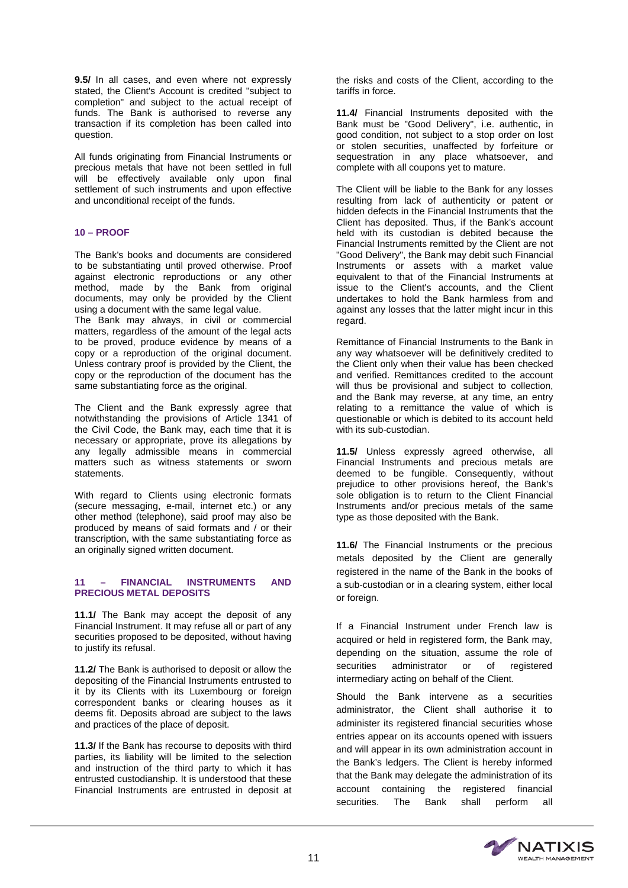**9.5/** In all cases, and even where not expressly stated, the Client's Account is credited "subject to completion" and subject to the actual receipt of funds. The Bank is authorised to reverse any transaction if its completion has been called into question.

All funds originating from Financial Instruments or precious metals that have not been settled in full will be effectively available only upon final settlement of such instruments and upon effective and unconditional receipt of the funds.

# **10 – PROOF**

The Bank's books and documents are considered to be substantiating until proved otherwise. Proof against electronic reproductions or any other method, made by the Bank from original documents, may only be provided by the Client using a document with the same legal value. The Bank may always, in civil or commercial matters, regardless of the amount of the legal acts to be proved, produce evidence by means of a

copy or a reproduction of the original document. Unless contrary proof is provided by the Client, the copy or the reproduction of the document has the same substantiating force as the original.

The Client and the Bank expressly agree that notwithstanding the provisions of Article 1341 of the Civil Code, the Bank may, each time that it is necessary or appropriate, prove its allegations by any legally admissible means in commercial matters such as witness statements or sworn statements.

With regard to Clients using electronic formats (secure messaging, e-mail, internet etc.) or any other method (telephone), said proof may also be produced by means of said formats and / or their transcription, with the same substantiating force as an originally signed written document.

# **11 – FINANCIAL INSTRUMENTS AND PRECIOUS METAL DEPOSITS**

**11.1/** The Bank may accept the deposit of any Financial Instrument. It may refuse all or part of any securities proposed to be deposited, without having to justify its refusal.

**11.2/** The Bank is authorised to deposit or allow the depositing of the Financial Instruments entrusted to it by its Clients with its Luxembourg or foreign correspondent banks or clearing houses as it deems fit. Deposits abroad are subject to the laws and practices of the place of deposit.

**11.3/** If the Bank has recourse to deposits with third parties, its liability will be limited to the selection and instruction of the third party to which it has entrusted custodianship. It is understood that these Financial Instruments are entrusted in deposit at

the risks and costs of the Client, according to the tariffs in force.

**11.4/** Financial Instruments deposited with the Bank must be "Good Delivery", i.e. authentic, in good condition, not subject to a stop order on lost or stolen securities, unaffected by forfeiture or sequestration in any place whatsoever, and complete with all coupons yet to mature.

The Client will be liable to the Bank for any losses resulting from lack of authenticity or patent or hidden defects in the Financial Instruments that the Client has deposited. Thus, if the Bank's account held with its custodian is debited because the Financial Instruments remitted by the Client are not "Good Delivery", the Bank may debit such Financial Instruments or assets with a market value equivalent to that of the Financial Instruments at issue to the Client's accounts, and the Client undertakes to hold the Bank harmless from and against any losses that the latter might incur in this regard.

Remittance of Financial Instruments to the Bank in any way whatsoever will be definitively credited to the Client only when their value has been checked and verified. Remittances credited to the account will thus be provisional and subject to collection. and the Bank may reverse, at any time, an entry relating to a remittance the value of which is questionable or which is debited to its account held with its sub-custodian.

**11.5/** Unless expressly agreed otherwise, all Financial Instruments and precious metals are deemed to be fungible. Consequently, without prejudice to other provisions hereof, the Bank's sole obligation is to return to the Client Financial Instruments and/or precious metals of the same type as those deposited with the Bank.

**11.6/** The Financial Instruments or the precious metals deposited by the Client are generally registered in the name of the Bank in the books of a sub-custodian or in a clearing system, either local or foreign.

If a Financial Instrument under French law is acquired or held in registered form, the Bank may, depending on the situation, assume the role of securities administrator or of registered intermediary acting on behalf of the Client.

Should the Bank intervene as a securities administrator, the Client shall authorise it to administer its registered financial securities whose entries appear on its accounts opened with issuers and will appear in its own administration account in the Bank's ledgers. The Client is hereby informed that the Bank may delegate the administration of its account containing the registered financial securities. The Bank shall perform all

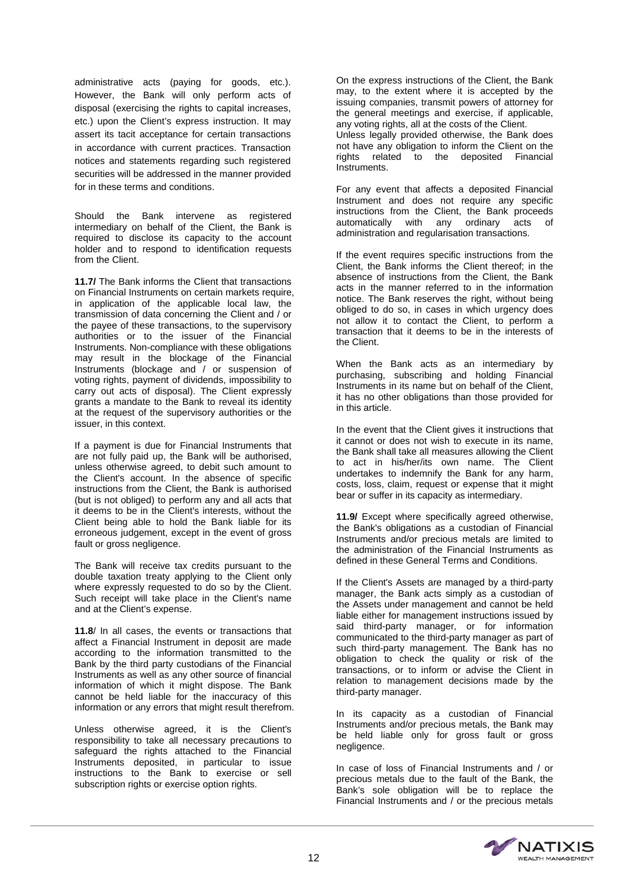administrative acts (paying for goods, etc.). However, the Bank will only perform acts of disposal (exercising the rights to capital increases, etc.) upon the Client's express instruction. It may assert its tacit acceptance for certain transactions in accordance with current practices. Transaction notices and statements regarding such registered securities will be addressed in the manner provided for in these terms and conditions.

Should the Bank intervene as registered intermediary on behalf of the Client, the Bank is required to disclose its capacity to the account holder and to respond to identification requests from the Client.

**11.7/** The Bank informs the Client that transactions on Financial Instruments on certain markets require, in application of the applicable local law, the transmission of data concerning the Client and / or the payee of these transactions, to the supervisory authorities or to the issuer of the Financial Instruments. Non-compliance with these obligations may result in the blockage of the Financial Instruments (blockage and / or suspension of voting rights, payment of dividends, impossibility to carry out acts of disposal). The Client expressly grants a mandate to the Bank to reveal its identity at the request of the supervisory authorities or the issuer, in this context.

If a payment is due for Financial Instruments that are not fully paid up, the Bank will be authorised, unless otherwise agreed, to debit such amount to the Client's account. In the absence of specific instructions from the Client, the Bank is authorised (but is not obliged) to perform any and all acts that it deems to be in the Client's interests, without the Client being able to hold the Bank liable for its erroneous judgement, except in the event of gross fault or gross negligence.

The Bank will receive tax credits pursuant to the double taxation treaty applying to the Client only where expressly requested to do so by the Client. Such receipt will take place in the Client's name and at the Client's expense.

**11.8**/ In all cases, the events or transactions that affect a Financial Instrument in deposit are made according to the information transmitted to the Bank by the third party custodians of the Financial Instruments as well as any other source of financial information of which it might dispose. The Bank cannot be held liable for the inaccuracy of this information or any errors that might result therefrom.

Unless otherwise agreed, it is the Client's responsibility to take all necessary precautions to safeguard the rights attached to the Financial Instruments deposited, in particular to issue instructions to the Bank to exercise or sell subscription rights or exercise option rights.

On the express instructions of the Client, the Bank may, to the extent where it is accepted by the issuing companies, transmit powers of attorney for the general meetings and exercise, if applicable, any voting rights, all at the costs of the Client. Unless legally provided otherwise, the Bank does not have any obligation to inform the Client on the rights related to the deposited Financial Instruments.

For any event that affects a deposited Financial Instrument and does not require any specific instructions from the Client, the Bank proceeds automatically with any ordinary acts of administration and regularisation transactions.

If the event requires specific instructions from the Client, the Bank informs the Client thereof; in the absence of instructions from the Client, the Bank acts in the manner referred to in the information notice. The Bank reserves the right, without being obliged to do so, in cases in which urgency does not allow it to contact the Client, to perform a transaction that it deems to be in the interests of the Client.

When the Bank acts as an intermediary by purchasing, subscribing and holding Financial Instruments in its name but on behalf of the Client, it has no other obligations than those provided for in this article.

In the event that the Client gives it instructions that it cannot or does not wish to execute in its name, the Bank shall take all measures allowing the Client to act in his/her/its own name. The Client undertakes to indemnify the Bank for any harm, costs, loss, claim, request or expense that it might bear or suffer in its capacity as intermediary.

**11.9/** Except where specifically agreed otherwise, the Bank's obligations as a custodian of Financial Instruments and/or precious metals are limited to the administration of the Financial Instruments as defined in these General Terms and Conditions.

If the Client's Assets are managed by a third-party manager, the Bank acts simply as a custodian of the Assets under management and cannot be held liable either for management instructions issued by said third-party manager, or for information communicated to the third-party manager as part of such third-party management. The Bank has no obligation to check the quality or risk of the transactions, or to inform or advise the Client in relation to management decisions made by the third-party manager.

In its capacity as a custodian of Financial Instruments and/or precious metals, the Bank may be held liable only for gross fault or gross negligence.

In case of loss of Financial Instruments and / or precious metals due to the fault of the Bank, the Bank's sole obligation will be to replace the Financial Instruments and / or the precious metals

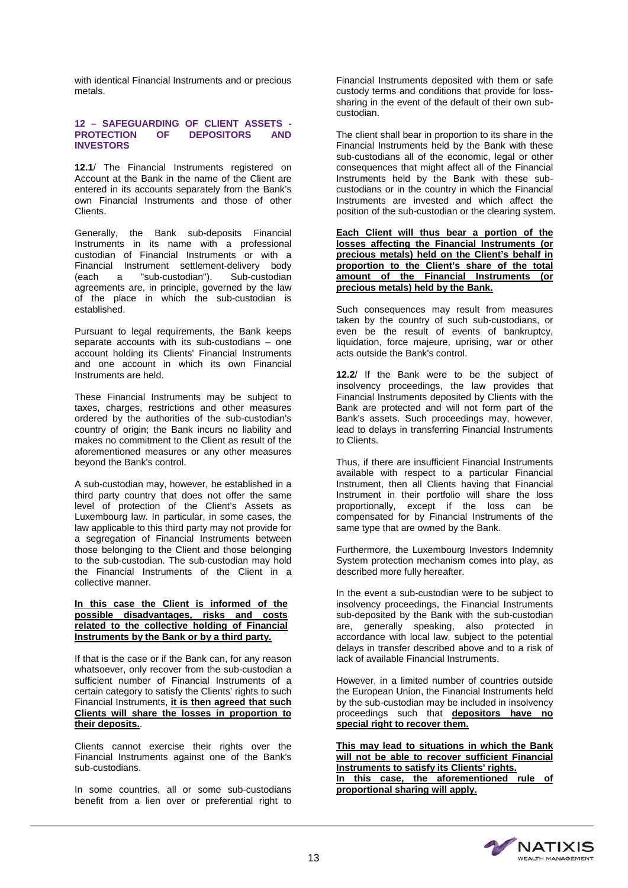with identical Financial Instruments and or precious metals.

#### **12 – SAFEGUARDING OF CLIENT ASSETS - PROTECTION OF DEPOSITORS INVESTORS**

**12.1**/ The Financial Instruments registered on Account at the Bank in the name of the Client are entered in its accounts separately from the Bank's own Financial Instruments and those of other Clients.

Generally, the Bank sub-deposits Financial Instruments in its name with a professional custodian of Financial Instruments or with a Financial Instrument settlement-delivery body<br>(each a "sub-custodian"). Sub-custodian  $(each$  a "sub-custodian"). agreements are, in principle, governed by the law of the place in which the sub-custodian is established.

Pursuant to legal requirements, the Bank keeps separate accounts with its sub-custodians – one account holding its Clients' Financial Instruments and one account in which its own Financial Instruments are held.

These Financial Instruments may be subject to taxes, charges, restrictions and other measures ordered by the authorities of the sub-custodian's country of origin; the Bank incurs no liability and makes no commitment to the Client as result of the aforementioned measures or any other measures beyond the Bank's control.

A sub-custodian may, however, be established in a third party country that does not offer the same level of protection of the Client's Assets as Luxembourg law. In particular, in some cases, the law applicable to this third party may not provide for a segregation of Financial Instruments between those belonging to the Client and those belonging to the sub-custodian. The sub-custodian may hold the Financial Instruments of the Client in a collective manner.

#### **In this case the Client is informed of the possible disadvantages, risks and costs related to the collective holding of Financial Instruments by the Bank or by a third party.**

If that is the case or if the Bank can, for any reason whatsoever, only recover from the sub-custodian a sufficient number of Financial Instruments of a certain category to satisfy the Clients' rights to such Financial Instruments, **it is then agreed that such Clients will share the losses in proportion to their deposits.**.

Clients cannot exercise their rights over the Financial Instruments against one of the Bank's sub-custodians.

In some countries, all or some sub-custodians benefit from a lien over or preferential right to

Financial Instruments deposited with them or safe custody terms and conditions that provide for losssharing in the event of the default of their own subcustodian.

The client shall bear in proportion to its share in the Financial Instruments held by the Bank with these sub-custodians all of the economic, legal or other consequences that might affect all of the Financial Instruments held by the Bank with these subcustodians or in the country in which the Financial Instruments are invested and which affect the position of the sub-custodian or the clearing system.

**Each Client will thus bear a portion of the losses affecting the Financial Instruments (or precious metals) held on the Client's behalf in proportion to the Client's share of the total amount of the Financial Instruments (or precious metals) held by the Bank.**

Such consequences may result from measures taken by the country of such sub-custodians, or even be the result of events of bankruptcy, liquidation, force majeure, uprising, war or other acts outside the Bank's control.

**12.2**/ If the Bank were to be the subject of insolvency proceedings, the law provides that Financial Instruments deposited by Clients with the Bank are protected and will not form part of the Bank's assets. Such proceedings may, however, lead to delays in transferring Financial Instruments to Clients.

Thus, if there are insufficient Financial Instruments available with respect to a particular Financial Instrument, then all Clients having that Financial Instrument in their portfolio will share the loss proportionally, except if the loss can be compensated for by Financial Instruments of the same type that are owned by the Bank.

Furthermore, the Luxembourg Investors Indemnity System protection mechanism comes into play, as described more fully hereafter.

In the event a sub-custodian were to be subject to insolvency proceedings, the Financial Instruments sub-deposited by the Bank with the sub-custodian are, generally speaking, also protected in accordance with local law, subject to the potential delays in transfer described above and to a risk of lack of available Financial Instruments.

However, in a limited number of countries outside the European Union, the Financial Instruments held by the sub-custodian may be included in insolvency proceedings such that **depositors have no special right to recover them.**

**This may lead to situations in which the Bank will not be able to recover sufficient Financial Instruments to satisfy its Clients' rights. In this case, the aforementioned rule of proportional sharing will apply.**

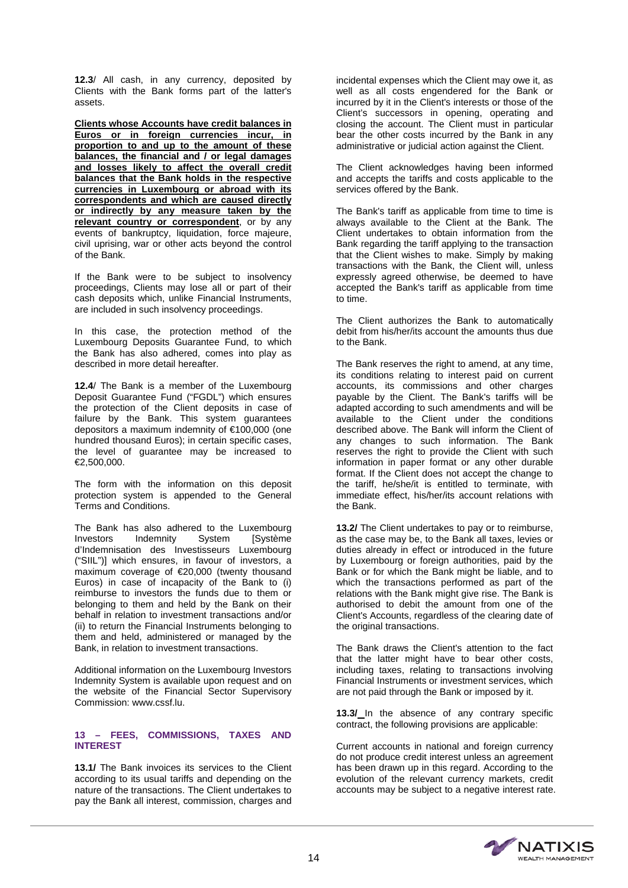**12.3**/ All cash, in any currency, deposited by Clients with the Bank forms part of the latter's assets.

**Clients whose Accounts have credit balances in Euros or in foreign currencies incur, in proportion to and up to the amount of these balances, the financial and / or legal damages and losses likely to affect the overall credit balances that the Bank holds in the respective currencies in Luxembourg or abroad with its correspondents and which are caused directly or indirectly by any measure taken by the relevant country or correspondent**, or by any events of bankruptcy, liquidation, force majeure, civil uprising, war or other acts beyond the control of the Bank.

If the Bank were to be subject to insolvency proceedings, Clients may lose all or part of their cash deposits which, unlike Financial Instruments, are included in such insolvency proceedings.

In this case, the protection method of the Luxembourg Deposits Guarantee Fund, to which the Bank has also adhered, comes into play as described in more detail hereafter.

**12.4**/ The Bank is a member of the Luxembourg Deposit Guarantee Fund ("FGDL") which ensures the protection of the Client deposits in case of failure by the Bank. This system guarantees depositors a maximum indemnity of €100,000 (one hundred thousand Euros); in certain specific cases, the level of guarantee may be increased to  $€2,500,000.$ 

The form with the information on this deposit protection system is appended to the General Terms and Conditions.

The Bank has also adhered to the Luxembourg Investors Indemnity System [Système] d'Indemnisation des Investisseurs Luxembourg ("SIIL")] which ensures, in favour of investors, a maximum coverage of €20,000 (twenty thousand Euros) in case of incapacity of the Bank to (i) reimburse to investors the funds due to them or belonging to them and held by the Bank on their behalf in relation to investment transactions and/or (ii) to return the Financial Instruments belonging to them and held, administered or managed by the Bank, in relation to investment transactions.

Additional information on the Luxembourg Investors Indemnity System is available upon request and on the website of the Financial Sector Supervisory Commission: www.cssf.lu.

# **13 – FEES, COMMISSIONS, TAXES AND INTEREST**

13.1/ The Bank invoices its services to the Client according to its usual tariffs and depending on the nature of the transactions. The Client undertakes to pay the Bank all interest, commission, charges and

incidental expenses which the Client may owe it, as well as all costs engendered for the Bank or incurred by it in the Client's interests or those of the Client's successors in opening, operating and closing the account. The Client must in particular bear the other costs incurred by the Bank in any administrative or judicial action against the Client.

The Client acknowledges having been informed and accepts the tariffs and costs applicable to the services offered by the Bank.

The Bank's tariff as applicable from time to time is always available to the Client at the Bank. The Client undertakes to obtain information from the Bank regarding the tariff applying to the transaction that the Client wishes to make. Simply by making transactions with the Bank, the Client will, unless expressly agreed otherwise, be deemed to have accepted the Bank's tariff as applicable from time to time.

The Client authorizes the Bank to automatically debit from his/her/its account the amounts thus due to the Bank.

The Bank reserves the right to amend, at any time, its conditions relating to interest paid on current accounts, its commissions and other charges payable by the Client. The Bank's tariffs will be adapted according to such amendments and will be available to the Client under the conditions described above. The Bank will inform the Client of any changes to such information. The Bank reserves the right to provide the Client with such information in paper format or any other durable format. If the Client does not accept the change to the tariff, he/she/it is entitled to terminate, with immediate effect, his/her/its account relations with the Bank.

**13.2/** The Client undertakes to pay or to reimburse, as the case may be, to the Bank all taxes, levies or duties already in effect or introduced in the future by Luxembourg or foreign authorities, paid by the Bank or for which the Bank might be liable, and to which the transactions performed as part of the relations with the Bank might give rise. The Bank is authorised to debit the amount from one of the Client's Accounts, regardless of the clearing date of the original transactions.

The Bank draws the Client's attention to the fact that the latter might have to bear other costs, including taxes, relating to transactions involving Financial Instruments or investment services, which are not paid through the Bank or imposed by it.

**13.3/** In the absence of any contrary specific contract, the following provisions are applicable:

Current accounts in national and foreign currency do not produce credit interest unless an agreement has been drawn up in this regard. According to the evolution of the relevant currency markets, credit accounts may be subject to a negative interest rate.

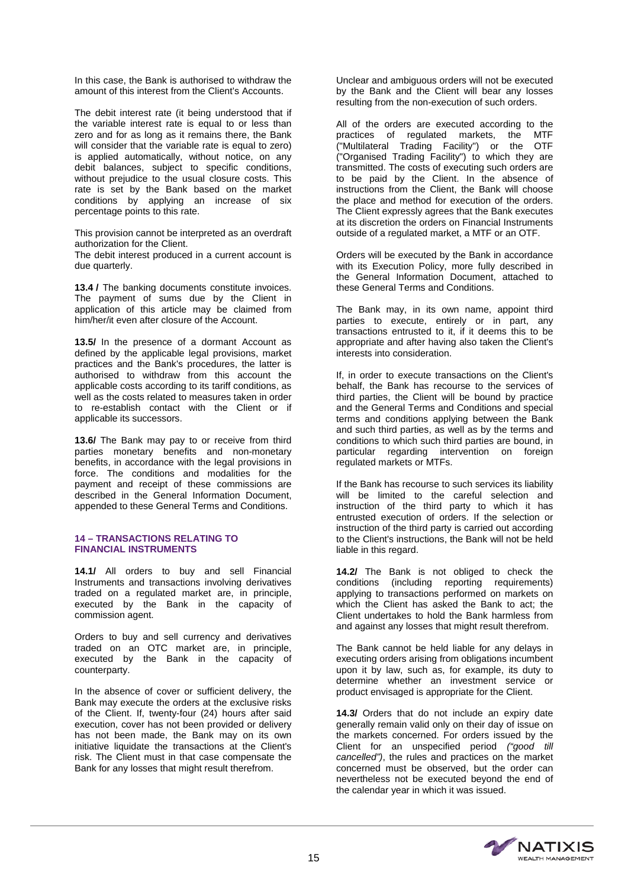In this case, the Bank is authorised to withdraw the amount of this interest from the Client's Accounts.

The debit interest rate (it being understood that if the variable interest rate is equal to or less than zero and for as long as it remains there, the Bank will consider that the variable rate is equal to zero) is applied automatically, without notice, on any debit balances, subject to specific conditions, without prejudice to the usual closure costs. This rate is set by the Bank based on the market conditions by applying an increase of six percentage points to this rate.

This provision cannot be interpreted as an overdraft authorization for the Client.

The debit interest produced in a current account is due quarterly.

**13.4 /** The banking documents constitute invoices. The payment of sums due by the Client in application of this article may be claimed from him/her/it even after closure of the Account.

**13.5/** In the presence of a dormant Account as defined by the applicable legal provisions, market practices and the Bank's procedures, the latter is authorised to withdraw from this account the applicable costs according to its tariff conditions, as well as the costs related to measures taken in order to re-establish contact with the Client or if applicable its successors.

**13.6/** The Bank may pay to or receive from third parties monetary benefits and non-monetary benefits, in accordance with the legal provisions in force. The conditions and modalities for the payment and receipt of these commissions are described in the General Information Document, appended to these General Terms and Conditions.

#### **14 – TRANSACTIONS RELATING TO FINANCIAL INSTRUMENTS**

**14.1/** All orders to buy and sell Financial Instruments and transactions involving derivatives traded on a regulated market are, in principle, executed by the Bank in the capacity of commission agent.

Orders to buy and sell currency and derivatives traded on an OTC market are, in principle, executed by the Bank in the capacity of counterparty.

In the absence of cover or sufficient delivery, the Bank may execute the orders at the exclusive risks of the Client. If, twenty-four (24) hours after said execution, cover has not been provided or delivery has not been made, the Bank may on its own initiative liquidate the transactions at the Client's risk. The Client must in that case compensate the Bank for any losses that might result therefrom.

Unclear and ambiguous orders will not be executed by the Bank and the Client will bear any losses resulting from the non-execution of such orders.

All of the orders are executed according to the practices of regulated markets, the MTF ("Multilateral Trading Facility") or the OTF ("Organised Trading Facility") to which they are transmitted. The costs of executing such orders are to be paid by the Client. In the absence of instructions from the Client, the Bank will choose the place and method for execution of the orders. The Client expressly agrees that the Bank executes at its discretion the orders on Financial Instruments outside of a regulated market, a MTF or an OTF.

Orders will be executed by the Bank in accordance with its Execution Policy, more fully described in the General Information Document, attached to these General Terms and Conditions.

The Bank may, in its own name, appoint third parties to execute, entirely or in part, any transactions entrusted to it, if it deems this to be appropriate and after having also taken the Client's interests into consideration.

If, in order to execute transactions on the Client's behalf, the Bank has recourse to the services of third parties, the Client will be bound by practice and the General Terms and Conditions and special terms and conditions applying between the Bank and such third parties, as well as by the terms and conditions to which such third parties are bound, in particular regarding intervention on foreign regulated markets or MTFs.

If the Bank has recourse to such services its liability will be limited to the careful selection and instruction of the third party to which it has entrusted execution of orders. If the selection or instruction of the third party is carried out according to the Client's instructions, the Bank will not be held liable in this regard.

**14.2/** The Bank is not obliged to check the conditions (including reporting requirements) applying to transactions performed on markets on which the Client has asked the Bank to act; the Client undertakes to hold the Bank harmless from and against any losses that might result therefrom.

The Bank cannot be held liable for any delays in executing orders arising from obligations incumbent upon it by law, such as, for example, its duty to determine whether an investment service or product envisaged is appropriate for the Client.

14.3/ Orders that do not include an expiry date generally remain valid only on their day of issue on the markets concerned. For orders issued by the Client for an unspecified period *("good till cancelled")*, the rules and practices on the market concerned must be observed, but the order can nevertheless not be executed beyond the end of the calendar year in which it was issued.

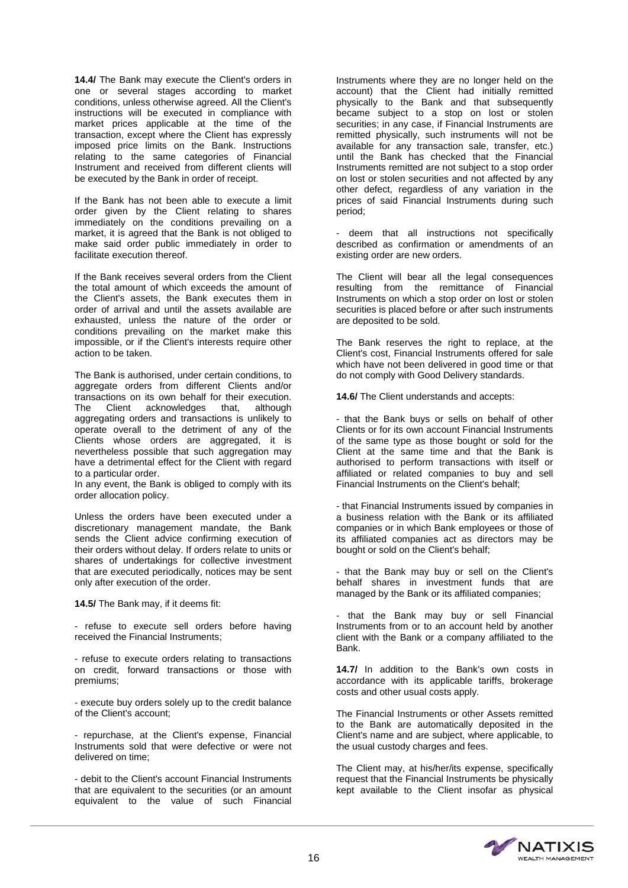14.4/ The Bank may execute the Client's orders in one or several stages according to market conditions, unless otherwise agreed. All the Client's instructions will be executed in compliance with market prices applicable at the time of the transaction, except where the Client has expressly imposed price limits on the Bank. Instructions relating to the same categories of Financial Instrument and received from different clients will be executed by the Bank in order of receipt.

If the Bank has not been able to execute a limit order given by the Client relating to shares immediately on the conditions prevailing on a market, it is agreed that the Bank is not obliged to make said order public immediately in order to facilitate execution thereof.

If the Bank receives several orders from the Client the total amount of which exceeds the amount of the Client's assets, the Bank executes them in order of arrival and until the assets available are exhausted, unless the nature of the order or conditions prevailing on the market make this impossible, or if the Client's interests require other action to be taken.

The Bank is authorised, under certain conditions, to aggregate orders from different Clients and/or transactions on its own behalf for their execution.<br>The Client acknowledges that, although Client acknowledges aggregating orders and transactions is unlikely to operate overall to the detriment of any of the Clients whose orders are aggregated, it is nevertheless possible that such aggregation may have a detrimental effect for the Client with regard to a particular order.

In any event, the Bank is obliged to comply with its order allocation policy.

Unless the orders have been executed under a discretionary management mandate, the Bank sends the Client advice confirming execution of their orders without delay. If orders relate to units or shares of undertakings for collective investment that are executed periodically, notices may be sent only after execution of the order.

**14.5/** The Bank may, if it deems fit:

- refuse to execute sell orders before having received the Financial Instruments;

- refuse to execute orders relating to transactions on credit, forward transactions or those with premiums;

- execute buy orders solely up to the credit balance of the Client's account;

- repurchase, at the Client's expense, Financial Instruments sold that were defective or were not delivered on time;

- debit to the Client's account Financial Instruments that are equivalent to the securities (or an amount equivalent to the value of such Financial

Instruments where they are no longer held on the account) that the Client had initially remitted physically to the Bank and that subsequently became subject to a stop on lost or stolen securities; in any case, if Financial Instruments are remitted physically, such instruments will not be available for any transaction sale, transfer, etc.) until the Bank has checked that the Financial Instruments remitted are not subject to a stop order on lost or stolen securities and not affected by any other defect, regardless of any variation in the prices of said Financial Instruments during such period;

deem that all instructions not specifically described as confirmation or amendments of an existing order are new orders.

The Client will bear all the legal consequences resulting from the remittance of Financial Instruments on which a stop order on lost or stolen securities is placed before or after such instruments are deposited to be sold.

The Bank reserves the right to replace, at the Client's cost, Financial Instruments offered for sale which have not been delivered in good time or that do not comply with Good Delivery standards.

**14.6/** The Client understands and accepts:

- that the Bank buys or sells on behalf of other Clients or for its own account Financial Instruments of the same type as those bought or sold for the Client at the same time and that the Bank is authorised to perform transactions with itself or affiliated or related companies to buy and sell Financial Instruments on the Client's behalf;

- that Financial Instruments issued by companies in a business relation with the Bank or its affiliated companies or in which Bank employees or those of its affiliated companies act as directors may be bought or sold on the Client's behalf;

- that the Bank may buy or sell on the Client's behalf shares in investment funds that are managed by the Bank or its affiliated companies;

that the Bank may buy or sell Financial Instruments from or to an account held by another client with the Bank or a company affiliated to the Bank.

**14.7/** In addition to the Bank's own costs in accordance with its applicable tariffs, brokerage costs and other usual costs apply.

The Financial Instruments or other Assets remitted to the Bank are automatically deposited in the Client's name and are subject, where applicable, to the usual custody charges and fees.

The Client may, at his/her/its expense, specifically request that the Financial Instruments be physically kept available to the Client insofar as physical

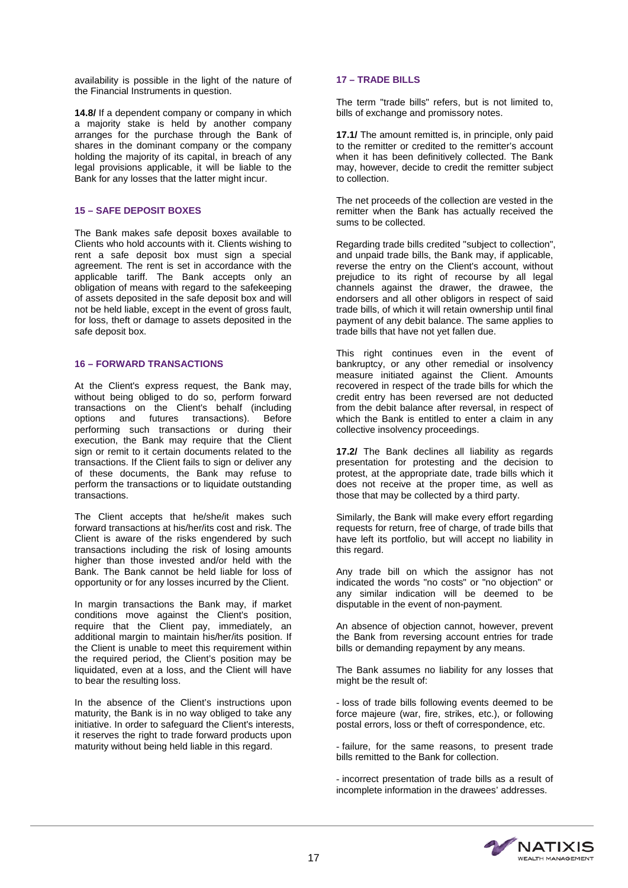availability is possible in the light of the nature of the Financial Instruments in question.

**14.8/** If a dependent company or company in which a majority stake is held by another company arranges for the purchase through the Bank of shares in the dominant company or the company holding the majority of its capital, in breach of any legal provisions applicable, it will be liable to the Bank for any losses that the latter might incur.

# **15 – SAFE DEPOSIT BOXES**

The Bank makes safe deposit boxes available to Clients who hold accounts with it. Clients wishing to rent a safe deposit box must sign a special agreement. The rent is set in accordance with the applicable tariff. The Bank accepts only an obligation of means with regard to the safekeeping of assets deposited in the safe deposit box and will not be held liable, except in the event of gross fault, for loss, theft or damage to assets deposited in the safe deposit box.

# **16 – FORWARD TRANSACTIONS**

At the Client's express request, the Bank may, without being obliged to do so, perform forward transactions on the Client's behalf (including options and futures transactions). Before performing such transactions or during their execution, the Bank may require that the Client sign or remit to it certain documents related to the transactions. If the Client fails to sign or deliver any of these documents, the Bank may refuse to perform the transactions or to liquidate outstanding transactions.

The Client accepts that he/she/it makes such forward transactions at his/her/its cost and risk. The Client is aware of the risks engendered by such transactions including the risk of losing amounts higher than those invested and/or held with the Bank. The Bank cannot be held liable for loss of opportunity or for any losses incurred by the Client.

In margin transactions the Bank may, if market conditions move against the Client's position, require that the Client pay, immediately, an additional margin to maintain his/her/its position. If the Client is unable to meet this requirement within the required period, the Client's position may be liquidated, even at a loss, and the Client will have to bear the resulting loss.

In the absence of the Client's instructions upon maturity, the Bank is in no way obliged to take any initiative. In order to safeguard the Client's interests, it reserves the right to trade forward products upon maturity without being held liable in this regard.

# **17 – TRADE BILLS**

The term "trade bills" refers, but is not limited to, bills of exchange and promissory notes.

**17.1/** The amount remitted is, in principle, only paid to the remitter or credited to the remitter's account when it has been definitively collected. The Bank may, however, decide to credit the remitter subject to collection.

The net proceeds of the collection are vested in the remitter when the Bank has actually received the sums to be collected.

Regarding trade bills credited "subject to collection", and unpaid trade bills, the Bank may, if applicable, reverse the entry on the Client's account, without prejudice to its right of recourse by all legal channels against the drawer, the drawee, the endorsers and all other obligors in respect of said trade bills, of which it will retain ownership until final payment of any debit balance. The same applies to trade bills that have not yet fallen due.

This right continues even in the event of bankruptcy, or any other remedial or insolvency measure initiated against the Client. Amounts recovered in respect of the trade bills for which the credit entry has been reversed are not deducted from the debit balance after reversal, in respect of which the Bank is entitled to enter a claim in any collective insolvency proceedings.

**17.2/** The Bank declines all liability as regards presentation for protesting and the decision to protest, at the appropriate date, trade bills which it does not receive at the proper time, as well as those that may be collected by a third party.

Similarly, the Bank will make every effort regarding requests for return, free of charge, of trade bills that have left its portfolio, but will accept no liability in this regard.

Any trade bill on which the assignor has not indicated the words "no costs" or "no objection" or any similar indication will be deemed to be disputable in the event of non-payment.

An absence of objection cannot, however, prevent the Bank from reversing account entries for trade bills or demanding repayment by any means.

The Bank assumes no liability for any losses that might be the result of:

- loss of trade bills following events deemed to be force majeure (war, fire, strikes, etc.), or following postal errors, loss or theft of correspondence, etc.

- failure, for the same reasons, to present trade bills remitted to the Bank for collection.

- incorrect presentation of trade bills as a result of incomplete information in the drawees' addresses.

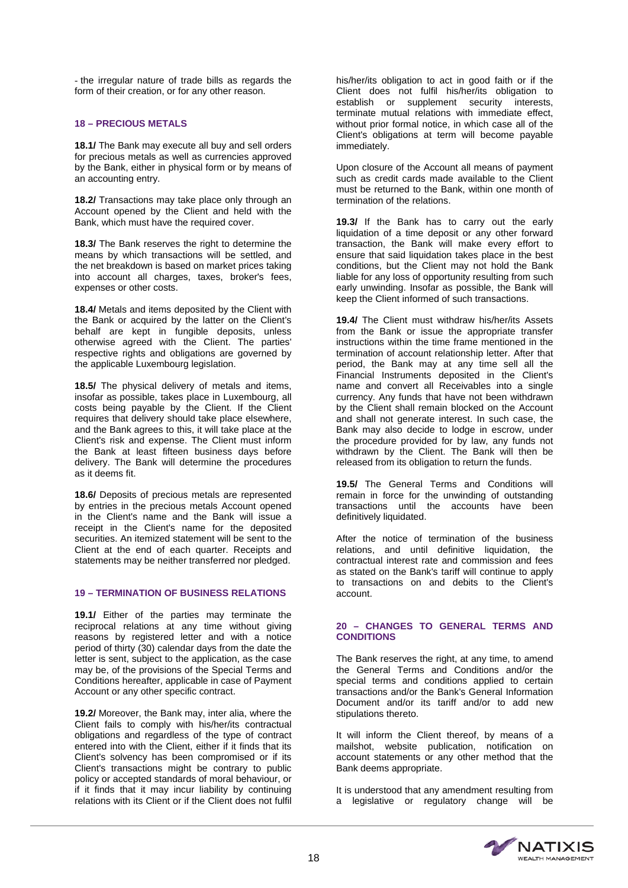- the irregular nature of trade bills as regards the form of their creation, or for any other reason.

# **18 – PRECIOUS METALS**

**18.1/** The Bank may execute all buy and sell orders for precious metals as well as currencies approved by the Bank, either in physical form or by means of an accounting entry.

**18.2/** Transactions may take place only through an Account opened by the Client and held with the Bank, which must have the required cover.

**18.3/** The Bank reserves the right to determine the means by which transactions will be settled, and the net breakdown is based on market prices taking into account all charges, taxes, broker's fees, expenses or other costs.

**18.4/** Metals and items deposited by the Client with the Bank or acquired by the latter on the Client's behalf are kept in fungible deposits, unless otherwise agreed with the Client. The parties' respective rights and obligations are governed by the applicable Luxembourg legislation.

**18.5/** The physical delivery of metals and items, insofar as possible, takes place in Luxembourg, all costs being payable by the Client. If the Client requires that delivery should take place elsewhere, and the Bank agrees to this, it will take place at the Client's risk and expense. The Client must inform the Bank at least fifteen business days before delivery. The Bank will determine the procedures as it deems fit.

**18.6/** Deposits of precious metals are represented by entries in the precious metals Account opened in the Client's name and the Bank will issue a receipt in the Client's name for the deposited securities. An itemized statement will be sent to the Client at the end of each quarter. Receipts and statements may be neither transferred nor pledged.

# **19 – TERMINATION OF BUSINESS RELATIONS**

**19.1/** Either of the parties may terminate the reciprocal relations at any time without giving reasons by registered letter and with a notice period of thirty (30) calendar days from the date the letter is sent, subject to the application, as the case may be, of the provisions of the Special Terms and Conditions hereafter, applicable in case of Payment Account or any other specific contract.

**19.2/** Moreover, the Bank may, inter alia, where the Client fails to comply with his/her/its contractual obligations and regardless of the type of contract entered into with the Client, either if it finds that its Client's solvency has been compromised or if its Client's transactions might be contrary to public policy or accepted standards of moral behaviour, or if it finds that it may incur liability by continuing relations with its Client or if the Client does not fulfil

his/her/its obligation to act in good faith or if the Client does not fulfil his/her/its obligation to establish or supplement security interests, terminate mutual relations with immediate effect, without prior formal notice, in which case all of the Client's obligations at term will become payable immediately.

Upon closure of the Account all means of payment such as credit cards made available to the Client must be returned to the Bank, within one month of termination of the relations.

**19.3/** If the Bank has to carry out the early liquidation of a time deposit or any other forward transaction, the Bank will make every effort to ensure that said liquidation takes place in the best conditions, but the Client may not hold the Bank liable for any loss of opportunity resulting from such early unwinding. Insofar as possible, the Bank will keep the Client informed of such transactions.

**19.4/** The Client must withdraw his/her/its Assets from the Bank or issue the appropriate transfer instructions within the time frame mentioned in the termination of account relationship letter. After that period, the Bank may at any time sell all the Financial Instruments deposited in the Client's name and convert all Receivables into a single currency. Any funds that have not been withdrawn by the Client shall remain blocked on the Account and shall not generate interest. In such case, the Bank may also decide to lodge in escrow, under the procedure provided for by law, any funds not withdrawn by the Client. The Bank will then be released from its obligation to return the funds.

**19.5/** The General Terms and Conditions will remain in force for the unwinding of outstanding transactions until the accounts have been definitively liquidated.

After the notice of termination of the business relations, and until definitive liquidation, the contractual interest rate and commission and fees as stated on the Bank's tariff will continue to apply to transactions on and debits to the Client's account.

# **20 – CHANGES TO GENERAL TERMS AND CONDITIONS**

The Bank reserves the right, at any time, to amend the General Terms and Conditions and/or the special terms and conditions applied to certain transactions and/or the Bank's General Information Document and/or its tariff and/or to add new stipulations thereto.

It will inform the Client thereof, by means of a mailshot, website publication, notification on account statements or any other method that the Bank deems appropriate.

It is understood that any amendment resulting from a legislative or regulatory change will be

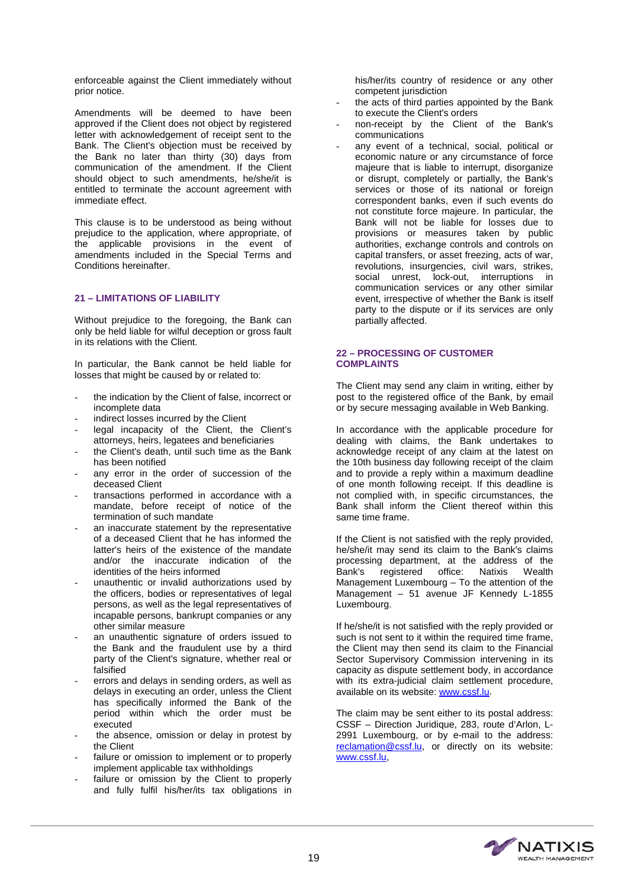enforceable against the Client immediately without prior notice.

Amendments will be deemed to have been approved if the Client does not object by registered letter with acknowledgement of receipt sent to the Bank. The Client's objection must be received by the Bank no later than thirty (30) days from communication of the amendment. If the Client should object to such amendments, he/she/it is entitled to terminate the account agreement with immediate effect.

This clause is to be understood as being without prejudice to the application, where appropriate, of the applicable provisions in the event of amendments included in the Special Terms and Conditions hereinafter.

# **21 – LIMITATIONS OF LIABILITY**

Without prejudice to the foregoing, the Bank can only be held liable for wilful deception or gross fault in its relations with the Client.

In particular, the Bank cannot be held liable for losses that might be caused by or related to:

- the indication by the Client of false, incorrect or incomplete data
- indirect losses incurred by the Client
- legal incapacity of the Client, the Client's attorneys, heirs, legatees and beneficiaries
- the Client's death, until such time as the Bank has been notified
- any error in the order of succession of the deceased Client
- transactions performed in accordance with a mandate, before receipt of notice of the termination of such mandate
- an inaccurate statement by the representative of a deceased Client that he has informed the latter's heirs of the existence of the mandate and/or the inaccurate indication of the identities of the heirs informed
- unauthentic or invalid authorizations used by the officers, bodies or representatives of legal persons, as well as the legal representatives of incapable persons, bankrupt companies or any other similar measure
- an unauthentic signature of orders issued to the Bank and the fraudulent use by a third party of the Client's signature, whether real or falsified
- errors and delays in sending orders, as well as delays in executing an order, unless the Client has specifically informed the Bank of the period within which the order must be executed
- the absence, omission or delay in protest by the Client
- failure or omission to implement or to properly implement applicable tax withholdings
- failure or omission by the Client to properly and fully fulfil his/her/its tax obligations in

his/her/its country of residence or any other competent jurisdiction

- the acts of third parties appointed by the Bank to execute the Client's orders
- non-receipt by the Client of the Bank's communications
- any event of a technical, social, political or economic nature or any circumstance of force majeure that is liable to interrupt, disorganize or disrupt, completely or partially, the Bank's services or those of its national or foreign correspondent banks, even if such events do not constitute force majeure. In particular, the Bank will not be liable for losses due to provisions or measures taken by public authorities, exchange controls and controls on capital transfers, or asset freezing, acts of war, revolutions, insurgencies, civil wars, strikes, social unrest, lock-out, interruptions in communication services or any other similar event, irrespective of whether the Bank is itself party to the dispute or if its services are only partially affected.

#### **22 – PROCESSING OF CUSTOMER COMPLAINTS**

The Client may send any claim in writing, either by post to the registered office of the Bank, by email or by secure messaging available in Web Banking.

In accordance with the applicable procedure for dealing with claims, the Bank undertakes to acknowledge receipt of any claim at the latest on the 10th business day following receipt of the claim and to provide a reply within a maximum deadline of one month following receipt. If this deadline is not complied with, in specific circumstances, the Bank shall inform the Client thereof within this same time frame.

If the Client is not satisfied with the reply provided, he/she/it may send its claim to the Bank's claims processing department, at the address of the<br>Bank's registered office: Natixis Wealth office: Natixis Management Luxembourg – To the attention of the Management – 51 avenue JF Kennedy L-1855 Luxembourg.

If he/she/it is not satisfied with the reply provided or such is not sent to it within the required time frame, the Client may then send its claim to the Financial Sector Supervisory Commission intervening in its capacity as dispute settlement body, in accordance with its extra-judicial claim settlement procedure, available on its website: [www.cssf.lu.](http://www.cssf.lu/)

The claim may be sent either to its postal address: CSSF – Direction Juridique, 283, route d'Arlon, L-2991 Luxembourg, or by e-mail to the address: [reclamation@cssf.lu,](mailto:reclamation@cssf.lu) or directly on its website: [www.cssf.lu,](http://www.cssf.lu/) 

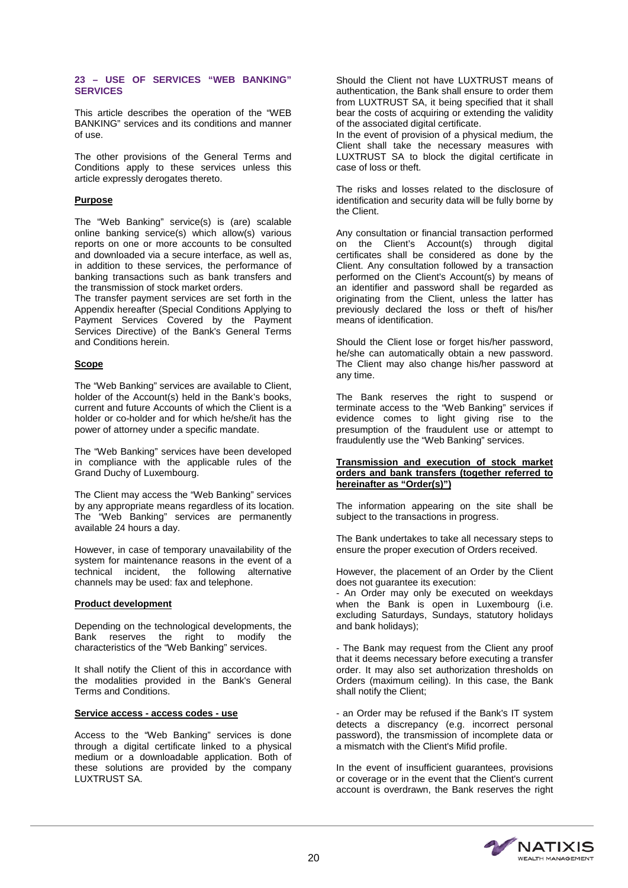#### **23 – USE OF SERVICES "WEB BANKING" SERVICES**

This article describes the operation of the "WEB BANKING" services and its conditions and manner of use.

The other provisions of the General Terms and Conditions apply to these services unless this article expressly derogates thereto.

# **Purpose**

The "Web Banking" service(s) is (are) scalable online banking service(s) which allow(s) various reports on one or more accounts to be consulted and downloaded via a secure interface, as well as, in addition to these services, the performance of banking transactions such as bank transfers and the transmission of stock market orders.

The transfer payment services are set forth in the Appendix hereafter (Special Conditions Applying to Payment Services Covered by the Payment Services Directive) of the Bank's General Terms and Conditions herein.

# **Scope**

The "Web Banking" services are available to Client, holder of the Account(s) held in the Bank's books, current and future Accounts of which the Client is a holder or co-holder and for which he/she/it has the power of attorney under a specific mandate.

The "Web Banking" services have been developed in compliance with the applicable rules of the Grand Duchy of Luxembourg.

The Client may access the "Web Banking" services by any appropriate means regardless of its location. The "Web Banking" services are permanently available 24 hours a day.

However, in case of temporary unavailability of the system for maintenance reasons in the event of a technical incident, the following alternative channels may be used: fax and telephone.

# **Product development**

Depending on the technological developments, the Bank reserves the right to modify the characteristics of the "Web Banking" services.

It shall notify the Client of this in accordance with the modalities provided in the Bank's General Terms and Conditions.

#### **Service access - access codes - use**

Access to the "Web Banking" services is done through a digital certificate linked to a physical medium or a downloadable application. Both of these solutions are provided by the company LUXTRUST SA.

Should the Client not have LUXTRUST means of authentication, the Bank shall ensure to order them from LUXTRUST SA, it being specified that it shall bear the costs of acquiring or extending the validity of the associated digital certificate.

In the event of provision of a physical medium, the Client shall take the necessary measures with LUXTRUST SA to block the digital certificate in case of loss or theft.

The risks and losses related to the disclosure of identification and security data will be fully borne by the Client.

Any consultation or financial transaction performed on the Client's Account(s) through digital certificates shall be considered as done by the Client. Any consultation followed by a transaction performed on the Client's Account(s) by means of an identifier and password shall be regarded as originating from the Client, unless the latter has previously declared the loss or theft of his/her means of identification.

Should the Client lose or forget his/her password, he/she can automatically obtain a new password. The Client may also change his/her password at any time.

The Bank reserves the right to suspend or terminate access to the "Web Banking" services if evidence comes to light giving rise to the presumption of the fraudulent use or attempt to fraudulently use the "Web Banking" services.

#### **Transmission and execution of stock market orders and bank transfers (together referred to hereinafter as "Order(s)")**

The information appearing on the site shall be subject to the transactions in progress.

The Bank undertakes to take all necessary steps to ensure the proper execution of Orders received.

However, the placement of an Order by the Client does not guarantee its execution:

- An Order may only be executed on weekdays when the Bank is open in Luxembourg (i.e. excluding Saturdays, Sundays, statutory holidays and bank holidays);

- The Bank may request from the Client any proof that it deems necessary before executing a transfer order. It may also set authorization thresholds on Orders (maximum ceiling). In this case, the Bank shall notify the Client;

- an Order may be refused if the Bank's IT system detects a discrepancy (e.g. incorrect personal password), the transmission of incomplete data or a mismatch with the Client's Mifid profile.

In the event of insufficient guarantees, provisions or coverage or in the event that the Client's current account is overdrawn, the Bank reserves the right

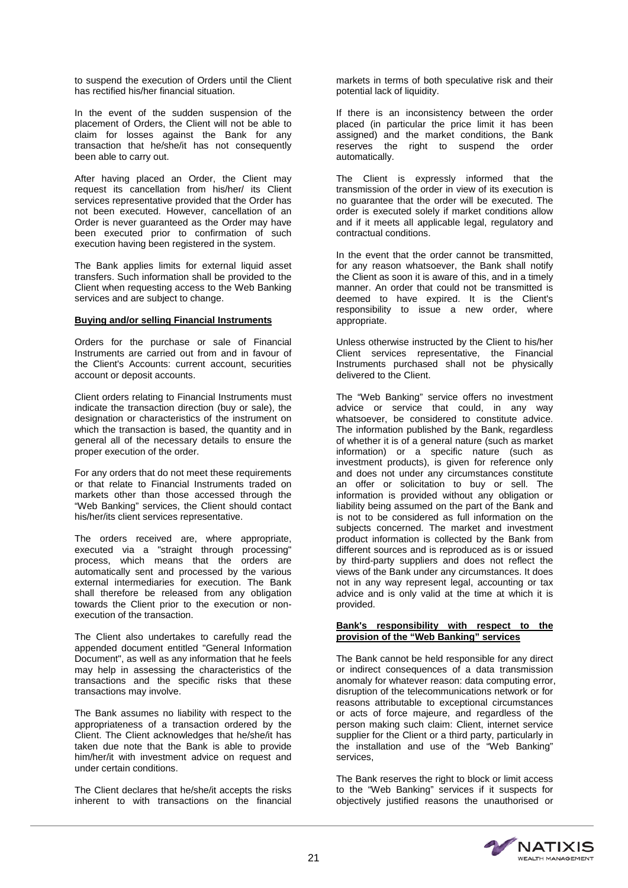to suspend the execution of Orders until the Client has rectified his/her financial situation.

In the event of the sudden suspension of the placement of Orders, the Client will not be able to claim for losses against the Bank for any transaction that he/she/it has not consequently been able to carry out.

After having placed an Order, the Client may request its cancellation from his/her/ its Client services representative provided that the Order has not been executed. However, cancellation of an Order is never guaranteed as the Order may have been executed prior to confirmation of such execution having been registered in the system.

The Bank applies limits for external liquid asset transfers. Such information shall be provided to the Client when requesting access to the Web Banking services and are subject to change.

# **Buying and/or selling Financial Instruments**

Orders for the purchase or sale of Financial Instruments are carried out from and in favour of the Client's Accounts: current account, securities account or deposit accounts.

Client orders relating to Financial Instruments must indicate the transaction direction (buy or sale), the designation or characteristics of the instrument on which the transaction is based, the quantity and in general all of the necessary details to ensure the proper execution of the order.

For any orders that do not meet these requirements or that relate to Financial Instruments traded on markets other than those accessed through the "Web Banking" services, the Client should contact his/her/its client services representative.

The orders received are, where appropriate, executed via a "straight through processing" process, which means that the orders are automatically sent and processed by the various external intermediaries for execution. The Bank shall therefore be released from any obligation towards the Client prior to the execution or nonexecution of the transaction.

The Client also undertakes to carefully read the appended document entitled "General Information Document", as well as any information that he feels may help in assessing the characteristics of the transactions and the specific risks that these transactions may involve.

The Bank assumes no liability with respect to the appropriateness of a transaction ordered by the Client. The Client acknowledges that he/she/it has taken due note that the Bank is able to provide him/her/it with investment advice on request and under certain conditions.

The Client declares that he/she/it accepts the risks inherent to with transactions on the financial markets in terms of both speculative risk and their potential lack of liquidity.

If there is an inconsistency between the order placed (in particular the price limit it has been assigned) and the market conditions, the Bank reserves the right to suspend the order automatically.

The Client is expressly informed that the transmission of the order in view of its execution is no guarantee that the order will be executed. The order is executed solely if market conditions allow and if it meets all applicable legal, regulatory and contractual conditions.

In the event that the order cannot be transmitted, for any reason whatsoever, the Bank shall notify the Client as soon it is aware of this, and in a timely manner. An order that could not be transmitted is deemed to have expired. It is the Client's responsibility to issue a new order, where appropriate.

Unless otherwise instructed by the Client to his/her Client services representative, the Financial Instruments purchased shall not be physically delivered to the Client.

The "Web Banking" service offers no investment advice or service that could, in any way whatsoever, be considered to constitute advice. The information published by the Bank, regardless of whether it is of a general nature (such as market information) or a specific nature (such as investment products), is given for reference only and does not under any circumstances constitute an offer or solicitation to buy or sell. The information is provided without any obligation or liability being assumed on the part of the Bank and is not to be considered as full information on the subjects concerned. The market and investment product information is collected by the Bank from different sources and is reproduced as is or issued by third-party suppliers and does not reflect the views of the Bank under any circumstances. It does not in any way represent legal, accounting or tax advice and is only valid at the time at which it is provided.

#### **Bank's responsibility with respect to the provision of the "Web Banking" services**

The Bank cannot be held responsible for any direct or indirect consequences of a data transmission anomaly for whatever reason: data computing error, disruption of the telecommunications network or for reasons attributable to exceptional circumstances or acts of force majeure, and regardless of the person making such claim: Client, internet service supplier for the Client or a third party, particularly in the installation and use of the "Web Banking" services,

The Bank reserves the right to block or limit access to the "Web Banking" services if it suspects for objectively justified reasons the unauthorised or

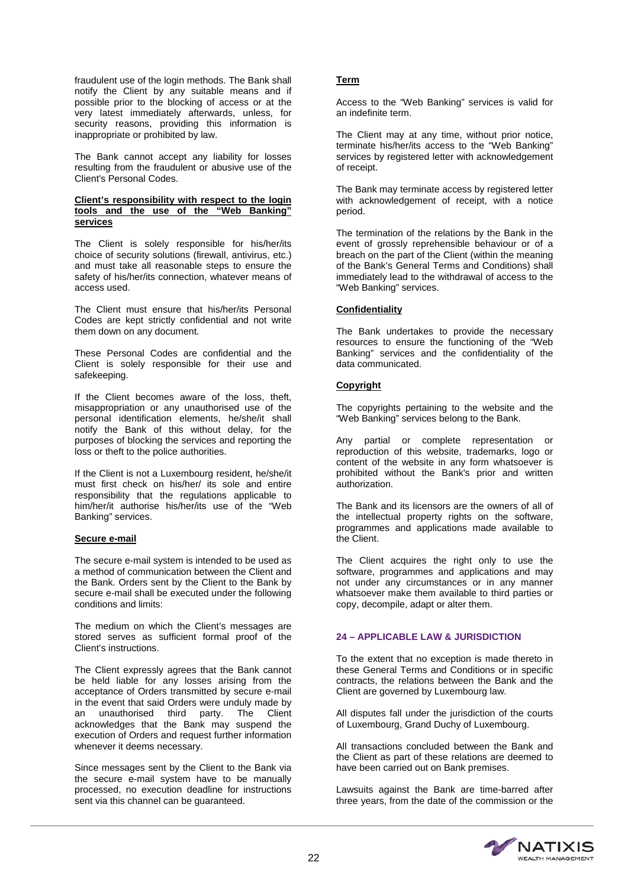fraudulent use of the login methods. The Bank shall notify the Client by any suitable means and if possible prior to the blocking of access or at the very latest immediately afterwards, unless, for security reasons, providing this information is inappropriate or prohibited by law.

The Bank cannot accept any liability for losses resulting from the fraudulent or abusive use of the Client's Personal Codes.

#### **Client's responsibility with respect to the login tools and the use of the "Web Banking" services**

The Client is solely responsible for his/her/its choice of security solutions (firewall, antivirus, etc.) and must take all reasonable steps to ensure the safety of his/her/its connection, whatever means of access used.

The Client must ensure that his/her/its Personal Codes are kept strictly confidential and not write them down on any document.

These Personal Codes are confidential and the Client is solely responsible for their use and safekeeping.

If the Client becomes aware of the loss, theft, misappropriation or any unauthorised use of the personal identification elements, he/she/it shall notify the Bank of this without delay, for the purposes of blocking the services and reporting the loss or theft to the police authorities.

If the Client is not a Luxembourg resident, he/she/it must first check on his/her/ its sole and entire responsibility that the regulations applicable to him/her/it authorise his/her/its use of the "Web Banking" services.

#### **Secure e-mail**

The secure e-mail system is intended to be used as a method of communication between the Client and the Bank. Orders sent by the Client to the Bank by secure e-mail shall be executed under the following conditions and limits:

The medium on which the Client's messages are stored serves as sufficient formal proof of the Client's instructions.

The Client expressly agrees that the Bank cannot be held liable for any losses arising from the acceptance of Orders transmitted by secure e-mail in the event that said Orders were unduly made by<br>an unauthorised third party. The Client an unauthorised third party. acknowledges that the Bank may suspend the execution of Orders and request further information whenever it deems necessary.

Since messages sent by the Client to the Bank via the secure e-mail system have to be manually processed, no execution deadline for instructions sent via this channel can be guaranteed.

# **Term**

Access to the "Web Banking" services is valid for an indefinite term.

The Client may at any time, without prior notice, terminate his/her/its access to the "Web Banking" services by registered letter with acknowledgement of receipt.

The Bank may terminate access by registered letter with acknowledgement of receipt, with a notice period.

The termination of the relations by the Bank in the event of grossly reprehensible behaviour or of a breach on the part of the Client (within the meaning of the Bank's General Terms and Conditions) shall immediately lead to the withdrawal of access to the "Web Banking" services.

# **Confidentiality**

The Bank undertakes to provide the necessary resources to ensure the functioning of the "Web Banking" services and the confidentiality of the data communicated.

# **Copyright**

The copyrights pertaining to the website and the "Web Banking" services belong to the Bank.

Any partial or complete representation or reproduction of this website, trademarks, logo or content of the website in any form whatsoever is prohibited without the Bank's prior and written authorization.

The Bank and its licensors are the owners of all of the intellectual property rights on the software, programmes and applications made available to the Client.

The Client acquires the right only to use the software, programmes and applications and may not under any circumstances or in any manner whatsoever make them available to third parties or copy, decompile, adapt or alter them.

#### **24 – APPLICABLE LAW & JURISDICTION**

To the extent that no exception is made thereto in these General Terms and Conditions or in specific contracts, the relations between the Bank and the Client are governed by Luxembourg law.

All disputes fall under the jurisdiction of the courts of Luxembourg, Grand Duchy of Luxembourg.

All transactions concluded between the Bank and the Client as part of these relations are deemed to have been carried out on Bank premises.

Lawsuits against the Bank are time-barred after three years, from the date of the commission or the

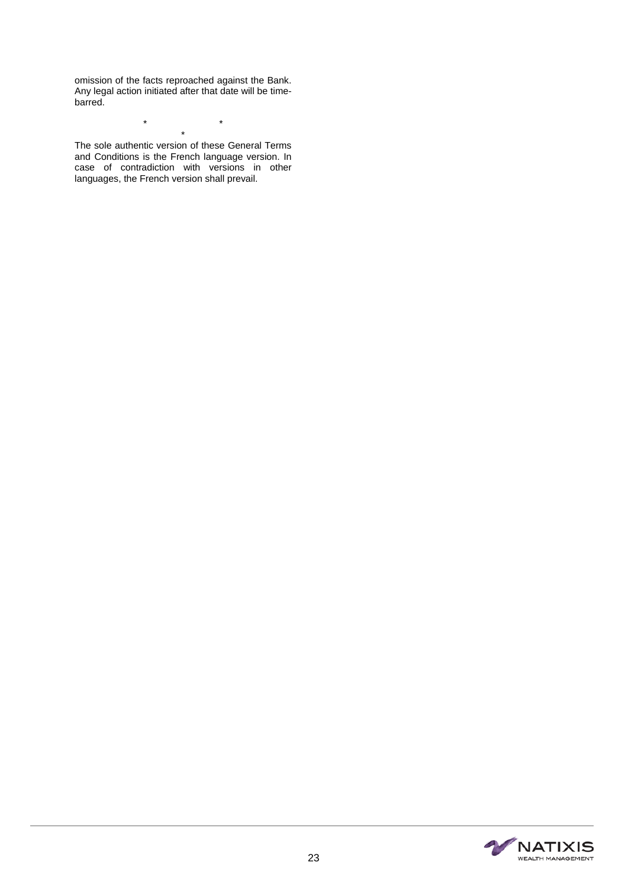omission of the facts reproached against the Bank. Any legal action initiated after that date will be timebarred.

\* \* \* The sole authentic version of these General Terms

and Conditions is the French language version. In case of contradiction with versions in other languages, the French version shall prevail.

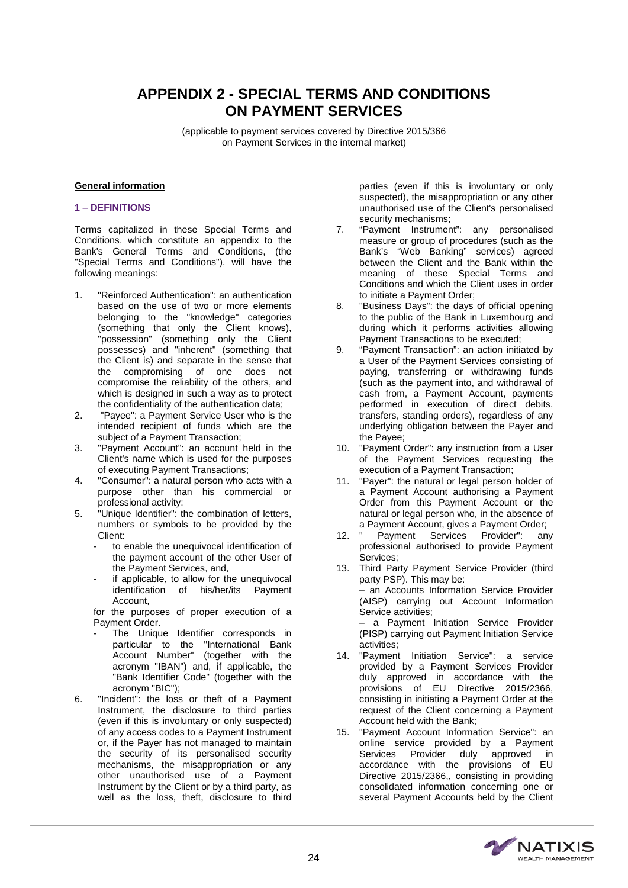# **APPENDIX 2 - SPECIAL TERMS AND CONDITIONS ON PAYMENT SERVICES**

(applicable to payment services covered by Directive 2015/366 on Payment Services in the internal market)

# **General information**

# **1** – **DEFINITIONS**

Terms capitalized in these Special Terms and Conditions, which constitute an appendix to the Bank's General Terms and Conditions, (the "Special Terms and Conditions"), will have the following meanings:

- 1. "Reinforced Authentication": an authentication based on the use of two or more elements belonging to the "knowledge" categories (something that only the Client knows), "possession" (something only the Client possesses) and "inherent" (something that the Client is) and separate in the sense that the compromising of one does not compromise the reliability of the others, and which is designed in such a way as to protect the confidentiality of the authentication data;
- 2. "Payee": a Payment Service User who is the intended recipient of funds which are the subject of a Payment Transaction;
- 3. "Payment Account": an account held in the Client's name which is used for the purposes of executing Payment Transactions;
- 4. "Consumer": a natural person who acts with a purpose other than his commercial or professional activity:
- 5. "Unique Identifier": the combination of letters, numbers or symbols to be provided by the Client:
	- to enable the unequivocal identification of the payment account of the other User of the Payment Services, and,
	- if applicable, to allow for the unequivocal identification of his/her/its Payment Account,

for the purposes of proper execution of a Payment Order.

- The Unique Identifier corresponds in particular to the "International Bank Account Number" (together with the acronym "IBAN") and, if applicable, the "Bank Identifier Code" (together with the acronym "BIC");
- 6. "Incident": the loss or theft of a Payment Instrument, the disclosure to third parties (even if this is involuntary or only suspected) of any access codes to a Payment Instrument or, if the Payer has not managed to maintain the security of its personalised security mechanisms, the misappropriation or any other unauthorised use of a Payment Instrument by the Client or by a third party, as well as the loss, theft, disclosure to third

parties (even if this is involuntary or only suspected), the misappropriation or any other unauthorised use of the Client's personalised security mechanisms;

- 7. "Payment Instrument": any personalised measure or group of procedures (such as the Bank's "Web Banking" services) agreed between the Client and the Bank within the meaning of these Special Terms and Conditions and which the Client uses in order to initiate a Payment Order;
- 8. "Business Days": the days of official opening to the public of the Bank in Luxembourg and during which it performs activities allowing Payment Transactions to be executed;
- 9. "Payment Transaction": an action initiated by a User of the Payment Services consisting of paying, transferring or withdrawing funds (such as the payment into, and withdrawal of cash from, a Payment Account, payments performed in execution of direct debits, transfers, standing orders), regardless of any underlying obligation between the Payer and the Payee;
- 10. "Payment Order": any instruction from a User of the Payment Services requesting the execution of a Payment Transaction;
- 11. "Payer": the natural or legal person holder of a Payment Account authorising a Payment Order from this Payment Account or the natural or legal person who, in the absence of a Payment Account, gives a Payment Order;
- 12. " Payment Services Provider": any professional authorised to provide Payment Services;
- 13. Third Party Payment Service Provider (third party PSP). This may be: – an Accounts Information Service Provider (AISP) carrying out Account Information Service activities; – a Payment Initiation Service Provider

(PISP) carrying out Payment Initiation Service activities;

- 14. "Payment Initiation Service": a service provided by a Payment Services Provider duly approved in accordance with the provisions of EU Directive 2015/2366, consisting in initiating a Payment Order at the request of the Client concerning a Payment Account held with the Bank;
- 15. "Payment Account Information Service": an online service provided by a Payment Services Provider duly approved in accordance with the provisions of EU Directive 2015/2366,, consisting in providing consolidated information concerning one or several Payment Accounts held by the Client

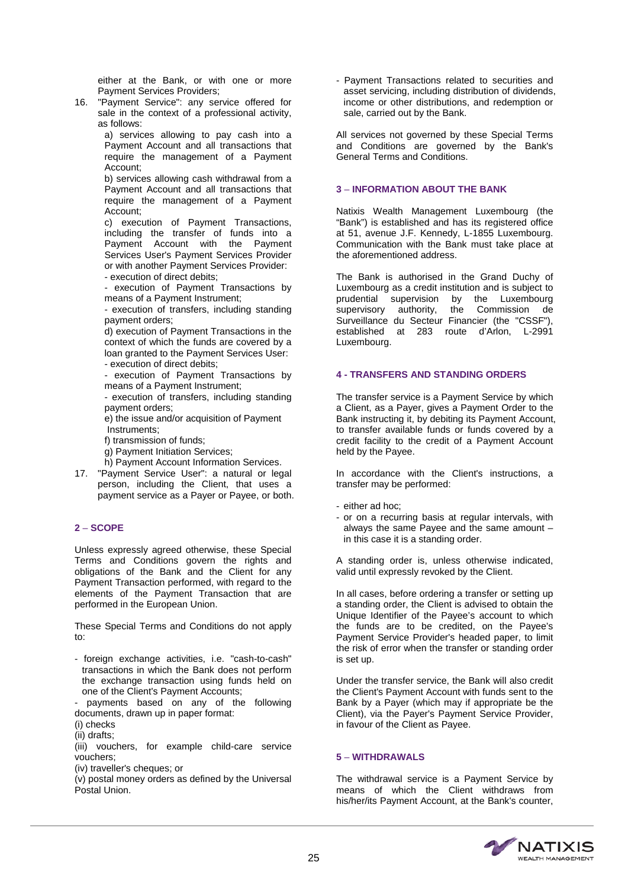either at the Bank, or with one or more Payment Services Providers;

16. "Payment Service": any service offered for sale in the context of a professional activity, as follows:

a) services allowing to pay cash into a Payment Account and all transactions that require the management of a Payment Account;

b) services allowing cash withdrawal from a Payment Account and all transactions that require the management of a Payment Account;

c) execution of Payment Transactions, including the transfer of funds into a Payment Account with the Payment Services User's Payment Services Provider or with another Payment Services Provider: - execution of direct debits;

- execution of Payment Transactions by means of a Payment Instrument;

- execution of transfers, including standing payment orders;

d) execution of Payment Transactions in the context of which the funds are covered by a loan granted to the Payment Services User: - execution of direct debits;

- execution of Payment Transactions by means of a Payment Instrument;

execution of transfers, including standing payment orders;

e) the issue and/or acquisition of Payment Instruments;

- f) transmission of funds;
- g) Payment Initiation Services;

h) Payment Account Information Services.

17. "Payment Service User": a natural or legal person, including the Client, that uses a payment service as a Payer or Payee, or both.

# **2** – **SCOPE**

Unless expressly agreed otherwise, these Special Terms and Conditions govern the rights and obligations of the Bank and the Client for any Payment Transaction performed, with regard to the elements of the Payment Transaction that are performed in the European Union.

These Special Terms and Conditions do not apply to:

- foreign exchange activities, i.e. "cash-to-cash" transactions in which the Bank does not perform the exchange transaction using funds held on one of the Client's Payment Accounts;

- payments based on any of the following documents, drawn up in paper format:

(i) checks

(ii) drafts;

(iii) vouchers, for example child-care service vouchers;

(iv) traveller's cheques; or

(v) postal money orders as defined by the Universal Postal Union.

- Payment Transactions related to securities and asset servicing, including distribution of dividends, income or other distributions, and redemption or sale, carried out by the Bank.

All services not governed by these Special Terms and Conditions are governed by the Bank's General Terms and Conditions.

# **3** – **INFORMATION ABOUT THE BANK**

Natixis Wealth Management Luxembourg (the "Bank") is established and has its registered office at 51, avenue J.F. Kennedy, L-1855 Luxembourg. Communication with the Bank must take place at the aforementioned address.

The Bank is authorised in the Grand Duchy of Luxembourg as a credit institution and is subject to prudential supervision by the Luxembourg supervisory authority, the Commission de Surveillance du Secteur Financier (the "CSSF"), established at 283 route d'Arlon, L-2991 Luxembourg.

# **4 - TRANSFERS AND STANDING ORDERS**

The transfer service is a Payment Service by which a Client, as a Payer, gives a Payment Order to the Bank instructing it, by debiting its Payment Account, to transfer available funds or funds covered by a credit facility to the credit of a Payment Account held by the Payee.

In accordance with the Client's instructions, a transfer may be performed:

- either ad hoc;
- or on a recurring basis at regular intervals, with always the same Payee and the same amount – in this case it is a standing order.

A standing order is, unless otherwise indicated, valid until expressly revoked by the Client.

In all cases, before ordering a transfer or setting up a standing order, the Client is advised to obtain the Unique Identifier of the Payee's account to which the funds are to be credited, on the Payee's Payment Service Provider's headed paper, to limit the risk of error when the transfer or standing order is set up.

Under the transfer service, the Bank will also credit the Client's Payment Account with funds sent to the Bank by a Payer (which may if appropriate be the Client), via the Payer's Payment Service Provider, in favour of the Client as Payee.

# **5** – **WITHDRAWALS**

The withdrawal service is a Payment Service by means of which the Client withdraws from his/her/its Payment Account, at the Bank's counter,

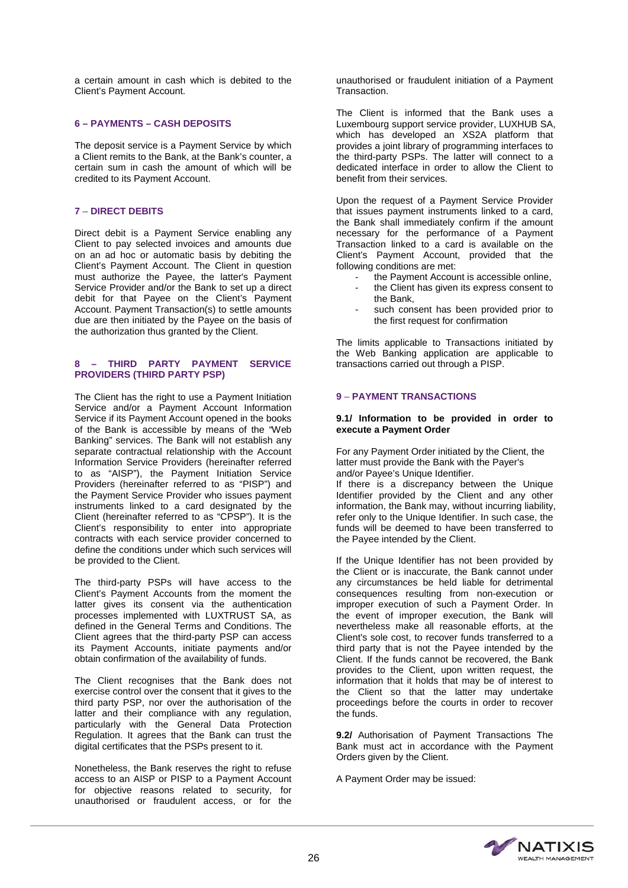a certain amount in cash which is debited to the Client's Payment Account.

# **6 – PAYMENTS – CASH DEPOSITS**

The deposit service is a Payment Service by which a Client remits to the Bank, at the Bank's counter, a certain sum in cash the amount of which will be credited to its Payment Account.

# **7** – **DIRECT DEBITS**

Direct debit is a Payment Service enabling any Client to pay selected invoices and amounts due on an ad hoc or automatic basis by debiting the Client's Payment Account. The Client in question must authorize the Payee, the latter's Payment Service Provider and/or the Bank to set up a direct debit for that Payee on the Client's Payment Account. Payment Transaction(s) to settle amounts due are then initiated by the Payee on the basis of the authorization thus granted by the Client.

# **8 – THIRD PARTY PAYMENT SERVICE PROVIDERS (THIRD PARTY PSP)**

The Client has the right to use a Payment Initiation Service and/or a Payment Account Information Service if its Payment Account opened in the books of the Bank is accessible by means of the "Web Banking" services. The Bank will not establish any separate contractual relationship with the Account Information Service Providers (hereinafter referred to as "AISP"), the Payment Initiation Service Providers (hereinafter referred to as "PISP") and the Payment Service Provider who issues payment instruments linked to a card designated by the Client (hereinafter referred to as "CPSP"). It is the Client's responsibility to enter into appropriate contracts with each service provider concerned to define the conditions under which such services will be provided to the Client.

The third-party PSPs will have access to the Client's Payment Accounts from the moment the latter gives its consent via the authentication processes implemented with LUXTRUST SA, as defined in the General Terms and Conditions. The Client agrees that the third-party PSP can access its Payment Accounts, initiate payments and/or obtain confirmation of the availability of funds.

The Client recognises that the Bank does not exercise control over the consent that it gives to the third party PSP, nor over the authorisation of the latter and their compliance with any regulation, particularly with the General Data Protection Regulation. It agrees that the Bank can trust the digital certificates that the PSPs present to it.

Nonetheless, the Bank reserves the right to refuse access to an AISP or PISP to a Payment Account for objective reasons related to security, for unauthorised or fraudulent access, or for the

unauthorised or fraudulent initiation of a Payment Transaction.

The Client is informed that the Bank uses a Luxembourg support service provider, LUXHUB SA, which has developed an XS2A platform that provides a joint library of programming interfaces to the third-party PSPs. The latter will connect to a dedicated interface in order to allow the Client to benefit from their services.

Upon the request of a Payment Service Provider that issues payment instruments linked to a card, the Bank shall immediately confirm if the amount necessary for the performance of a Payment Transaction linked to a card is available on the Client's Payment Account, provided that the following conditions are met:

- the Payment Account is accessible online.
- the Client has given its express consent to the Bank,
- such consent has been provided prior to the first request for confirmation

The limits applicable to Transactions initiated by the Web Banking application are applicable to transactions carried out through a PISP.

# **9** – **PAYMENT TRANSACTIONS**

#### **9.1/ Information to be provided in order to execute a Payment Order**

For any Payment Order initiated by the Client, the latter must provide the Bank with the Payer's and/or Payee's Unique Identifier.

If there is a discrepancy between the Unique Identifier provided by the Client and any other information, the Bank may, without incurring liability, refer only to the Unique Identifier. In such case, the funds will be deemed to have been transferred to the Payee intended by the Client.

If the Unique Identifier has not been provided by the Client or is inaccurate, the Bank cannot under any circumstances be held liable for detrimental consequences resulting from non-execution or improper execution of such a Payment Order. In the event of improper execution, the Bank will nevertheless make all reasonable efforts, at the Client's sole cost, to recover funds transferred to a third party that is not the Payee intended by the Client. If the funds cannot be recovered, the Bank provides to the Client, upon written request, the information that it holds that may be of interest to the Client so that the latter may undertake proceedings before the courts in order to recover the funds.

**9.2/** Authorisation of Payment Transactions The Bank must act in accordance with the Payment Orders given by the Client.

A Payment Order may be issued:

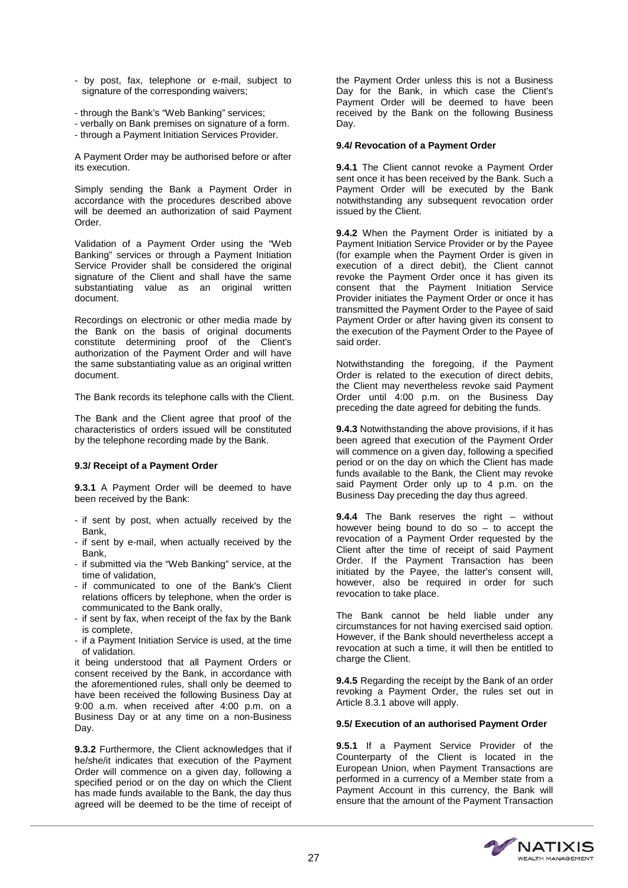- by post, fax, telephone or e-mail, subject to signature of the corresponding waivers;
- through the Bank's "Web Banking" services;
- verbally on Bank premises on signature of a form.
- through a Payment Initiation Services Provider.

A Payment Order may be authorised before or after its execution.

Simply sending the Bank a Payment Order in accordance with the procedures described above will be deemed an authorization of said Payment Order.

Validation of a Payment Order using the "Web Banking" services or through a Payment Initiation Service Provider shall be considered the original signature of the Client and shall have the same substantiating value as an original written document.

Recordings on electronic or other media made by the Bank on the basis of original documents constitute determining proof of the Client's authorization of the Payment Order and will have the same substantiating value as an original written document.

The Bank records its telephone calls with the Client.

The Bank and the Client agree that proof of the characteristics of orders issued will be constituted by the telephone recording made by the Bank.

#### **9.3/ Receipt of a Payment Order**

**9.3.1** A Payment Order will be deemed to have been received by the Bank:

- if sent by post, when actually received by the Bank,
- if sent by e-mail, when actually received by the Bank,
- if submitted via the "Web Banking" service, at the time of validation,
- if communicated to one of the Bank's Client relations officers by telephone, when the order is communicated to the Bank orally,
- if sent by fax, when receipt of the fax by the Bank is complete,
- if a Payment Initiation Service is used, at the time of validation.

it being understood that all Payment Orders or consent received by the Bank, in accordance with the aforementioned rules, shall only be deemed to have been received the following Business Day at 9:00 a.m. when received after 4:00 p.m. on a Business Day or at any time on a non-Business Day.

**9.3.2** Furthermore, the Client acknowledges that if he/she/it indicates that execution of the Payment Order will commence on a given day, following a specified period or on the day on which the Client has made funds available to the Bank, the day thus agreed will be deemed to be the time of receipt of

the Payment Order unless this is not a Business Day for the Bank, in which case the Client's Payment Order will be deemed to have been received by the Bank on the following Business Day.

# **9.4/ Revocation of a Payment Order**

**9.4.1** The Client cannot revoke a Payment Order sent once it has been received by the Bank. Such a Payment Order will be executed by the Bank notwithstanding any subsequent revocation order issued by the Client.

**9.4.2** When the Payment Order is initiated by a Payment Initiation Service Provider or by the Payee (for example when the Payment Order is given in execution of a direct debit), the Client cannot revoke the Payment Order once it has given its consent that the Payment Initiation Service Provider initiates the Payment Order or once it has transmitted the Payment Order to the Payee of said Payment Order or after having given its consent to the execution of the Payment Order to the Payee of said order.

Notwithstanding the foregoing, if the Payment Order is related to the execution of direct debits, the Client may nevertheless revoke said Payment Order until 4:00 p.m. on the Business Day preceding the date agreed for debiting the funds.

**9.4.3** Notwithstanding the above provisions, if it has been agreed that execution of the Payment Order will commence on a given day, following a specified period or on the day on which the Client has made funds available to the Bank, the Client may revoke said Payment Order only up to 4 p.m. on the Business Day preceding the day thus agreed.

**9.4.4** The Bank reserves the right – without however being bound to do so  $-$  to accept the revocation of a Payment Order requested by the Client after the time of receipt of said Payment Order. If the Payment Transaction has been initiated by the Payee, the latter's consent will, however, also be required in order for such revocation to take place.

The Bank cannot be held liable under any circumstances for not having exercised said option. However, if the Bank should nevertheless accept a revocation at such a time, it will then be entitled to charge the Client.

**9.4.5** Regarding the receipt by the Bank of an order revoking a Payment Order, the rules set out in Article 8.3.1 above will apply.

#### **9.5/ Execution of an authorised Payment Order**

**9.5.1** If a Payment Service Provider of the Counterparty of the Client is located in the European Union, when Payment Transactions are performed in a currency of a Member state from a Payment Account in this currency, the Bank will ensure that the amount of the Payment Transaction

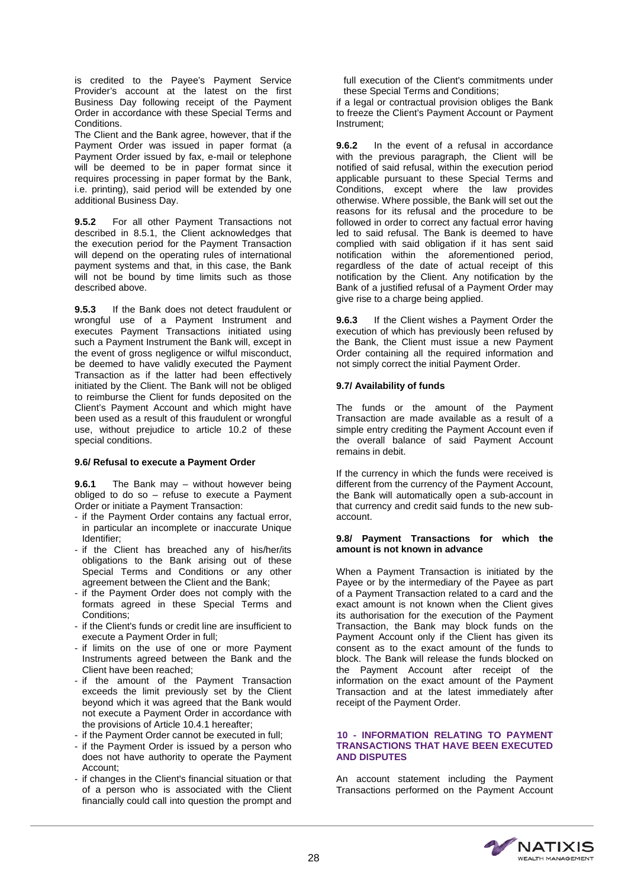is credited to the Payee's Payment Service Provider's account at the latest on the first Business Day following receipt of the Payment Order in accordance with these Special Terms and Conditions.

The Client and the Bank agree, however, that if the Payment Order was issued in paper format (a Payment Order issued by fax, e-mail or telephone will be deemed to be in paper format since it requires processing in paper format by the Bank, i.e. printing), said period will be extended by one additional Business Day.

**9.5.2** For all other Payment Transactions not described in 8.5.1, the Client acknowledges that the execution period for the Payment Transaction will depend on the operating rules of international payment systems and that, in this case, the Bank will not be bound by time limits such as those described above.

**9.5.3** If the Bank does not detect fraudulent or wrongful use of a Payment Instrument and executes Payment Transactions initiated using such a Payment Instrument the Bank will, except in the event of gross negligence or wilful misconduct, be deemed to have validly executed the Payment Transaction as if the latter had been effectively initiated by the Client. The Bank will not be obliged to reimburse the Client for funds deposited on the Client's Payment Account and which might have been used as a result of this fraudulent or wrongful use, without prejudice to article 10.2 of these special conditions.

#### **9.6/ Refusal to execute a Payment Order**

**9.6.1** The Bank may – without however being obliged to do so – refuse to execute a Payment Order or initiate a Payment Transaction:

- if the Payment Order contains any factual error, in particular an incomplete or inaccurate Unique Identifier;
- if the Client has breached any of his/her/its obligations to the Bank arising out of these Special Terms and Conditions or any other agreement between the Client and the Bank;
- if the Payment Order does not comply with the formats agreed in these Special Terms and Conditions;
- if the Client's funds or credit line are insufficient to execute a Payment Order in full;
- if limits on the use of one or more Payment Instruments agreed between the Bank and the Client have been reached;
- if the amount of the Payment Transaction exceeds the limit previously set by the Client beyond which it was agreed that the Bank would not execute a Payment Order in accordance with the provisions of Article 10.4.1 hereafter;
- if the Payment Order cannot be executed in full;
- if the Payment Order is issued by a person who does not have authority to operate the Payment Account;
- if changes in the Client's financial situation or that of a person who is associated with the Client financially could call into question the prompt and

full execution of the Client's commitments under these Special Terms and Conditions;

if a legal or contractual provision obliges the Bank to freeze the Client's Payment Account or Payment Instrument;

**9.6.2** In the event of a refusal in accordance with the previous paragraph, the Client will be notified of said refusal, within the execution period applicable pursuant to these Special Terms and Conditions, except where the law provides otherwise. Where possible, the Bank will set out the reasons for its refusal and the procedure to be followed in order to correct any factual error having led to said refusal. The Bank is deemed to have complied with said obligation if it has sent said notification within the aforementioned period, regardless of the date of actual receipt of this notification by the Client. Any notification by the Bank of a justified refusal of a Payment Order may give rise to a charge being applied.

**9.6.3** If the Client wishes a Payment Order the execution of which has previously been refused by the Bank, the Client must issue a new Payment Order containing all the required information and not simply correct the initial Payment Order.

## **9.7/ Availability of funds**

The funds or the amount of the Payment Transaction are made available as a result of a simple entry crediting the Payment Account even if the overall balance of said Payment Account remains in debit.

If the currency in which the funds were received is different from the currency of the Payment Account, the Bank will automatically open a sub-account in that currency and credit said funds to the new subaccount.

#### **9.8/ Payment Transactions for which the amount is not known in advance**

When a Payment Transaction is initiated by the Payee or by the intermediary of the Payee as part of a Payment Transaction related to a card and the exact amount is not known when the Client gives its authorisation for the execution of the Payment Transaction, the Bank may block funds on the Payment Account only if the Client has given its consent as to the exact amount of the funds to block. The Bank will release the funds blocked on the Payment Account after receipt of the information on the exact amount of the Payment Transaction and at the latest immediately after receipt of the Payment Order.

# **10 - INFORMATION RELATING TO PAYMENT TRANSACTIONS THAT HAVE BEEN EXECUTED AND DISPUTES**

An account statement including the Payment Transactions performed on the Payment Account

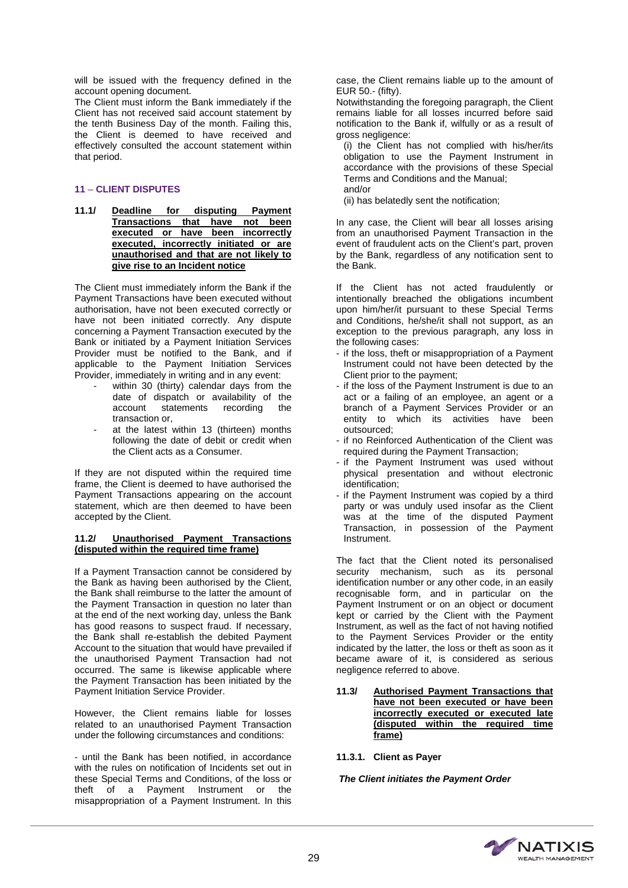will be issued with the frequency defined in the account opening document.

The Client must inform the Bank immediately if the Client has not received said account statement by the tenth Business Day of the month. Failing this, the Client is deemed to have received and effectively consulted the account statement within that period.

# **11** – **CLIENT DISPUTES**

**11.1/ Deadline for disputing Payment Transactions that have not been executed or have been incorrectly executed, incorrectly initiated or are unauthorised and that are not likely to give rise to an Incident notice**

The Client must immediately inform the Bank if the Payment Transactions have been executed without authorisation, have not been executed correctly or have not been initiated correctly. Any dispute concerning a Payment Transaction executed by the Bank or initiated by a Payment Initiation Services Provider must be notified to the Bank, and if applicable to the Payment Initiation Services Provider, immediately in writing and in any event:

- within 30 (thirty) calendar days from the date of dispatch or availability of the<br>account statements recording the statements transaction or,
- at the latest within 13 (thirteen) months following the date of debit or credit when the Client acts as a Consumer.

If they are not disputed within the required time frame, the Client is deemed to have authorised the Payment Transactions appearing on the account statement, which are then deemed to have been accepted by the Client.

#### **11.2/ Unauthorised Payment Transactions (disputed within the required time frame)**

If a Payment Transaction cannot be considered by the Bank as having been authorised by the Client, the Bank shall reimburse to the latter the amount of the Payment Transaction in question no later than at the end of the next working day, unless the Bank has good reasons to suspect fraud. If necessary, the Bank shall re-establish the debited Payment Account to the situation that would have prevailed if the unauthorised Payment Transaction had not occurred. The same is likewise applicable where the Payment Transaction has been initiated by the Payment Initiation Service Provider.

However, the Client remains liable for losses related to an unauthorised Payment Transaction under the following circumstances and conditions:

- until the Bank has been notified, in accordance with the rules on notification of Incidents set out in these Special Terms and Conditions, of the loss or theft of a Payment Instrument or the misappropriation of a Payment Instrument. In this

case, the Client remains liable up to the amount of EUR 50.- (fifty).

Notwithstanding the foregoing paragraph, the Client remains liable for all losses incurred before said notification to the Bank if, wilfully or as a result of gross negligence:

(i) the Client has not complied with his/her/its obligation to use the Payment Instrument in accordance with the provisions of these Special Terms and Conditions and the Manual; and/or

(ii) has belatedly sent the notification;

In any case, the Client will bear all losses arising from an unauthorised Payment Transaction in the event of fraudulent acts on the Client's part, proven by the Bank, regardless of any notification sent to the Bank.

If the Client has not acted fraudulently or intentionally breached the obligations incumbent upon him/her/it pursuant to these Special Terms and Conditions, he/she/it shall not support, as an exception to the previous paragraph, any loss in the following cases:

- if the loss, theft or misappropriation of a Payment Instrument could not have been detected by the Client prior to the payment;
- if the loss of the Payment Instrument is due to an act or a failing of an employee, an agent or a branch of a Payment Services Provider or an entity to which its activities have been outsourced;
- if no Reinforced Authentication of the Client was required during the Payment Transaction;
- if the Payment Instrument was used without physical presentation and without electronic identification;
- if the Payment Instrument was copied by a third party or was unduly used insofar as the Client was at the time of the disputed Payment Transaction, in possession of the Payment Instrument.

The fact that the Client noted its personalised security mechanism, such as its personal identification number or any other code, in an easily recognisable form, and in particular on the Payment Instrument or on an object or document kept or carried by the Client with the Payment Instrument, as well as the fact of not having notified to the Payment Services Provider or the entity indicated by the latter, the loss or theft as soon as it became aware of it, is considered as serious negligence referred to above.

- **11.3/ Authorised Payment Transactions that have not been executed or have been incorrectly executed or executed late (disputed within the required time frame)**
- **11.3.1. Client as Payer**

*The Client initiates the Payment Order*

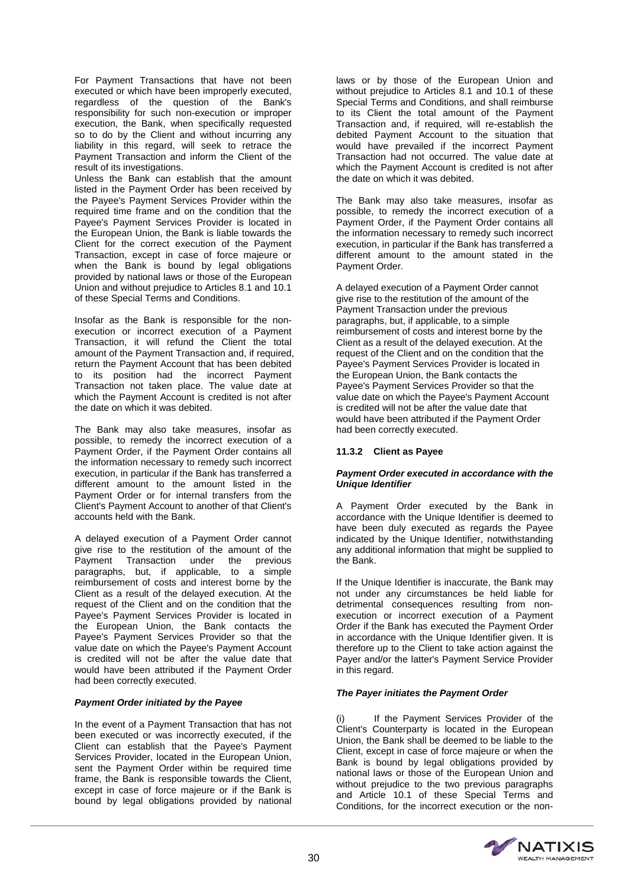For Payment Transactions that have not been executed or which have been improperly executed, regardless of the question of the Bank's responsibility for such non-execution or improper execution, the Bank, when specifically requested so to do by the Client and without incurring any liability in this regard, will seek to retrace the Payment Transaction and inform the Client of the result of its investigations.

Unless the Bank can establish that the amount listed in the Payment Order has been received by the Payee's Payment Services Provider within the required time frame and on the condition that the Payee's Payment Services Provider is located in the European Union, the Bank is liable towards the Client for the correct execution of the Payment Transaction, except in case of force majeure or when the Bank is bound by legal obligations provided by national laws or those of the European Union and without prejudice to Articles 8.1 and 10.1 of these Special Terms and Conditions.

Insofar as the Bank is responsible for the nonexecution or incorrect execution of a Payment Transaction, it will refund the Client the total amount of the Payment Transaction and, if required, return the Payment Account that has been debited to its position had the incorrect Payment Transaction not taken place. The value date at which the Payment Account is credited is not after the date on which it was debited.

The Bank may also take measures, insofar as possible, to remedy the incorrect execution of a Payment Order, if the Payment Order contains all the information necessary to remedy such incorrect execution, in particular if the Bank has transferred a different amount to the amount listed in the Payment Order or for internal transfers from the Client's Payment Account to another of that Client's accounts held with the Bank.

A delayed execution of a Payment Order cannot give rise to the restitution of the amount of the Payment Transaction under the previous paragraphs, but, if applicable, to a simple reimbursement of costs and interest borne by the Client as a result of the delayed execution. At the request of the Client and on the condition that the Payee's Payment Services Provider is located in the European Union, the Bank contacts the Payee's Payment Services Provider so that the value date on which the Payee's Payment Account is credited will not be after the value date that would have been attributed if the Payment Order had been correctly executed.

# *Payment Order initiated by the Payee*

In the event of a Payment Transaction that has not been executed or was incorrectly executed, if the Client can establish that the Payee's Payment Services Provider, located in the European Union, sent the Payment Order within be required time frame, the Bank is responsible towards the Client, except in case of force majeure or if the Bank is bound by legal obligations provided by national

laws or by those of the European Union and without prejudice to Articles 8.1 and 10.1 of these Special Terms and Conditions, and shall reimburse to its Client the total amount of the Payment Transaction and, if required, will re-establish the debited Payment Account to the situation that would have prevailed if the incorrect Payment Transaction had not occurred. The value date at which the Payment Account is credited is not after the date on which it was debited.

The Bank may also take measures, insofar as possible, to remedy the incorrect execution of a Payment Order, if the Payment Order contains all the information necessary to remedy such incorrect execution, in particular if the Bank has transferred a different amount to the amount stated in the Payment Order.

A delayed execution of a Payment Order cannot give rise to the restitution of the amount of the Payment Transaction under the previous paragraphs, but, if applicable, to a simple reimbursement of costs and interest borne by the Client as a result of the delayed execution. At the request of the Client and on the condition that the Payee's Payment Services Provider is located in the European Union, the Bank contacts the Payee's Payment Services Provider so that the value date on which the Payee's Payment Account is credited will not be after the value date that would have been attributed if the Payment Order had been correctly executed.

#### **11.3.2 Client as Payee**

# *Payment Order executed in accordance with the Unique Identifier*

A Payment Order executed by the Bank in accordance with the Unique Identifier is deemed to have been duly executed as regards the Payee indicated by the Unique Identifier, notwithstanding any additional information that might be supplied to the Bank.

If the Unique Identifier is inaccurate, the Bank may not under any circumstances be held liable for detrimental consequences resulting from nonexecution or incorrect execution of a Payment Order if the Bank has executed the Payment Order in accordance with the Unique Identifier given. It is therefore up to the Client to take action against the Payer and/or the latter's Payment Service Provider in this regard.

# *The Payer initiates the Payment Order*

(i) If the Payment Services Provider of the Client's Counterparty is located in the European Union, the Bank shall be deemed to be liable to the Client, except in case of force majeure or when the Bank is bound by legal obligations provided by national laws or those of the European Union and without prejudice to the two previous paragraphs and Article 10.1 of these Special Terms and Conditions, for the incorrect execution or the non-

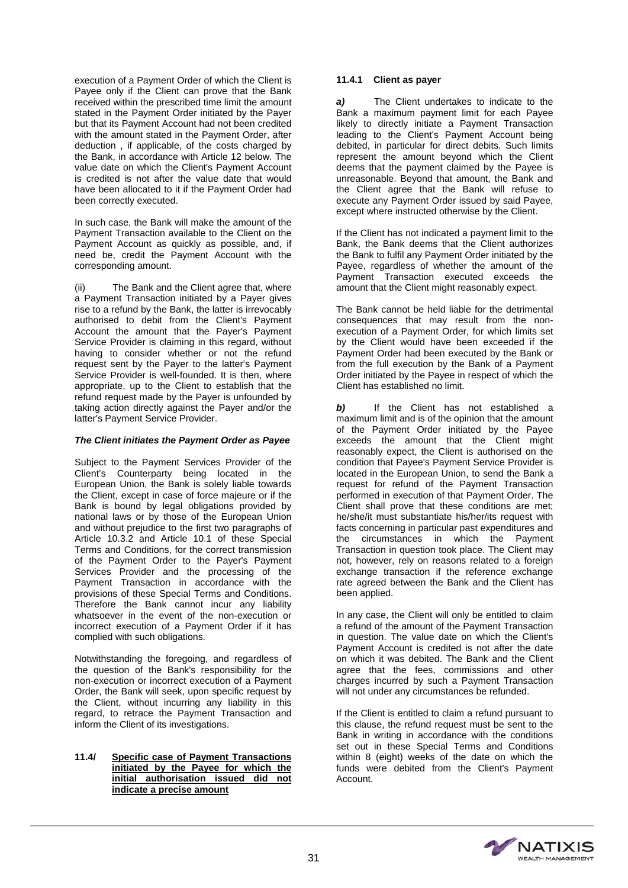execution of a Payment Order of which the Client is Payee only if the Client can prove that the Bank received within the prescribed time limit the amount stated in the Payment Order initiated by the Payer but that its Payment Account had not been credited with the amount stated in the Payment Order, after deduction , if applicable, of the costs charged by the Bank, in accordance with Article 12 below. The value date on which the Client's Payment Account is credited is not after the value date that would have been allocated to it if the Payment Order had been correctly executed.

In such case, the Bank will make the amount of the Payment Transaction available to the Client on the Payment Account as quickly as possible, and, if need be, credit the Payment Account with the corresponding amount.

(ii) The Bank and the Client agree that, where a Payment Transaction initiated by a Payer gives rise to a refund by the Bank, the latter is irrevocably authorised to debit from the Client's Payment Account the amount that the Payer's Payment Service Provider is claiming in this regard, without having to consider whether or not the refund request sent by the Payer to the latter's Payment Service Provider is well-founded. It is then, where appropriate, up to the Client to establish that the refund request made by the Payer is unfounded by taking action directly against the Payer and/or the latter's Payment Service Provider.

# *The Client initiates the Payment Order as Payee*

Subject to the Payment Services Provider of the Client's Counterparty being located in the European Union, the Bank is solely liable towards the Client, except in case of force majeure or if the Bank is bound by legal obligations provided by national laws or by those of the European Union and without prejudice to the first two paragraphs of Article 10.3.2 and Article 10.1 of these Special Terms and Conditions, for the correct transmission of the Payment Order to the Payer's Payment Services Provider and the processing of the Payment Transaction in accordance with the provisions of these Special Terms and Conditions. Therefore the Bank cannot incur any liability whatsoever in the event of the non-execution or incorrect execution of a Payment Order if it has complied with such obligations.

Notwithstanding the foregoing, and regardless of the question of the Bank's responsibility for the non-execution or incorrect execution of a Payment Order, the Bank will seek, upon specific request by the Client, without incurring any liability in this regard, to retrace the Payment Transaction and inform the Client of its investigations.

# **11.4/ Specific case of Payment Transactions initiated by the Payee for which the initial authorisation issued did not indicate a precise amount**

#### **11.4.1 Client as payer**

*a)* The Client undertakes to indicate to the Bank a maximum payment limit for each Payee likely to directly initiate a Payment Transaction leading to the Client's Payment Account being debited, in particular for direct debits. Such limits represent the amount beyond which the Client deems that the payment claimed by the Payee is unreasonable. Beyond that amount, the Bank and the Client agree that the Bank will refuse to execute any Payment Order issued by said Payee, except where instructed otherwise by the Client.

If the Client has not indicated a payment limit to the Bank, the Bank deems that the Client authorizes the Bank to fulfil any Payment Order initiated by the Payee, regardless of whether the amount of the Payment Transaction executed exceeds the amount that the Client might reasonably expect.

The Bank cannot be held liable for the detrimental consequences that may result from the nonexecution of a Payment Order, for which limits set by the Client would have been exceeded if the Payment Order had been executed by the Bank or from the full execution by the Bank of a Payment Order initiated by the Payee in respect of which the Client has established no limit.

*b)* If the Client has not established a maximum limit and is of the opinion that the amount of the Payment Order initiated by the Payee exceeds the amount that the Client might reasonably expect, the Client is authorised on the condition that Payee's Payment Service Provider is located in the European Union, to send the Bank a request for refund of the Payment Transaction performed in execution of that Payment Order. The Client shall prove that these conditions are met; he/she/it must substantiate his/her/its request with facts concerning in particular past expenditures and the circumstances in which the Payment Transaction in question took place. The Client may not, however, rely on reasons related to a foreign exchange transaction if the reference exchange rate agreed between the Bank and the Client has been applied.

In any case, the Client will only be entitled to claim a refund of the amount of the Payment Transaction in question. The value date on which the Client's Payment Account is credited is not after the date on which it was debited. The Bank and the Client agree that the fees, commissions and other charges incurred by such a Payment Transaction will not under any circumstances be refunded.

If the Client is entitled to claim a refund pursuant to this clause, the refund request must be sent to the Bank in writing in accordance with the conditions set out in these Special Terms and Conditions within 8 (eight) weeks of the date on which the funds were debited from the Client's Payment Account.

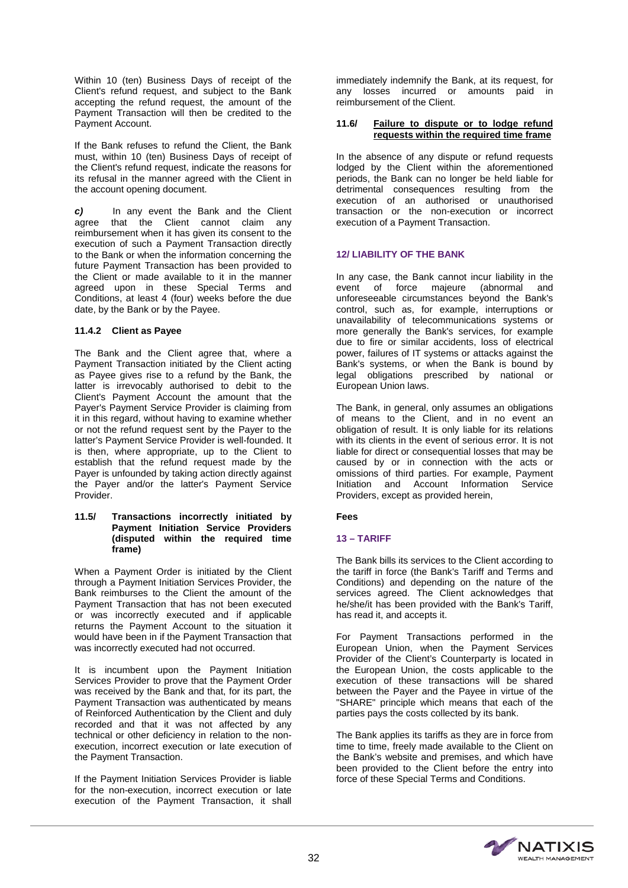Within 10 (ten) Business Days of receipt of the Client's refund request, and subject to the Bank accepting the refund request, the amount of the Payment Transaction will then be credited to the Payment Account.

If the Bank refuses to refund the Client, the Bank must, within 10 (ten) Business Days of receipt of the Client's refund request, indicate the reasons for its refusal in the manner agreed with the Client in the account opening document.

*c)* In any event the Bank and the Client that the Client cannot claim any reimbursement when it has given its consent to the execution of such a Payment Transaction directly to the Bank or when the information concerning the future Payment Transaction has been provided to the Client or made available to it in the manner agreed upon in these Special Terms and Conditions, at least 4 (four) weeks before the due date, by the Bank or by the Payee.

# **11.4.2 Client as Payee**

The Bank and the Client agree that, where a Payment Transaction initiated by the Client acting as Payee gives rise to a refund by the Bank, the latter is irrevocably authorised to debit to the Client's Payment Account the amount that the Payer's Payment Service Provider is claiming from it in this regard, without having to examine whether or not the refund request sent by the Payer to the latter's Payment Service Provider is well-founded. It is then, where appropriate, up to the Client to establish that the refund request made by the Payer is unfounded by taking action directly against the Payer and/or the latter's Payment Service Provider.

#### **11.5/ Transactions incorrectly initiated by Payment Initiation Service Providers (disputed within the required time frame)**

When a Payment Order is initiated by the Client through a Payment Initiation Services Provider, the Bank reimburses to the Client the amount of the Payment Transaction that has not been executed or was incorrectly executed and if applicable returns the Payment Account to the situation it would have been in if the Payment Transaction that was incorrectly executed had not occurred.

It is incumbent upon the Payment Initiation Services Provider to prove that the Payment Order was received by the Bank and that, for its part, the Payment Transaction was authenticated by means of Reinforced Authentication by the Client and duly recorded and that it was not affected by any technical or other deficiency in relation to the nonexecution, incorrect execution or late execution of the Payment Transaction.

If the Payment Initiation Services Provider is liable for the non-execution, incorrect execution or late execution of the Payment Transaction, it shall

immediately indemnify the Bank, at its request, for any losses incurred or amounts paid in reimbursement of the Client.

#### **11.6/ Failure to dispute or to lodge refund requests within the required time frame**

In the absence of any dispute or refund requests lodged by the Client within the aforementioned periods, the Bank can no longer be held liable for detrimental consequences resulting from the execution of an authorised or unauthorised transaction or the non-execution or incorrect execution of a Payment Transaction.

# **12/ LIABILITY OF THE BANK**

In any case, the Bank cannot incur liability in the event of force majeure (abnormal and event of force unforeseeable circumstances beyond the Bank's control, such as, for example, interruptions or unavailability of telecommunications systems or more generally the Bank's services, for example due to fire or similar accidents, loss of electrical power, failures of IT systems or attacks against the Bank's systems, or when the Bank is bound by legal obligations prescribed by national or European Union laws.

The Bank, in general, only assumes an obligations of means to the Client, and in no event an obligation of result. It is only liable for its relations with its clients in the event of serious error. It is not liable for direct or consequential losses that may be caused by or in connection with the acts or omissions of third parties. For example, Payment Initiation and Account Information Service Providers, except as provided herein,

#### **Fees**

#### **13 – TARIFF**

The Bank bills its services to the Client according to the tariff in force (the Bank's Tariff and Terms and Conditions) and depending on the nature of the services agreed. The Client acknowledges that he/she/it has been provided with the Bank's Tariff, has read it, and accepts it.

For Payment Transactions performed in the European Union, when the Payment Services Provider of the Client's Counterparty is located in the European Union, the costs applicable to the execution of these transactions will be shared between the Payer and the Payee in virtue of the "SHARE" principle which means that each of the parties pays the costs collected by its bank.

The Bank applies its tariffs as they are in force from time to time, freely made available to the Client on the Bank's website and premises, and which have been provided to the Client before the entry into force of these Special Terms and Conditions.

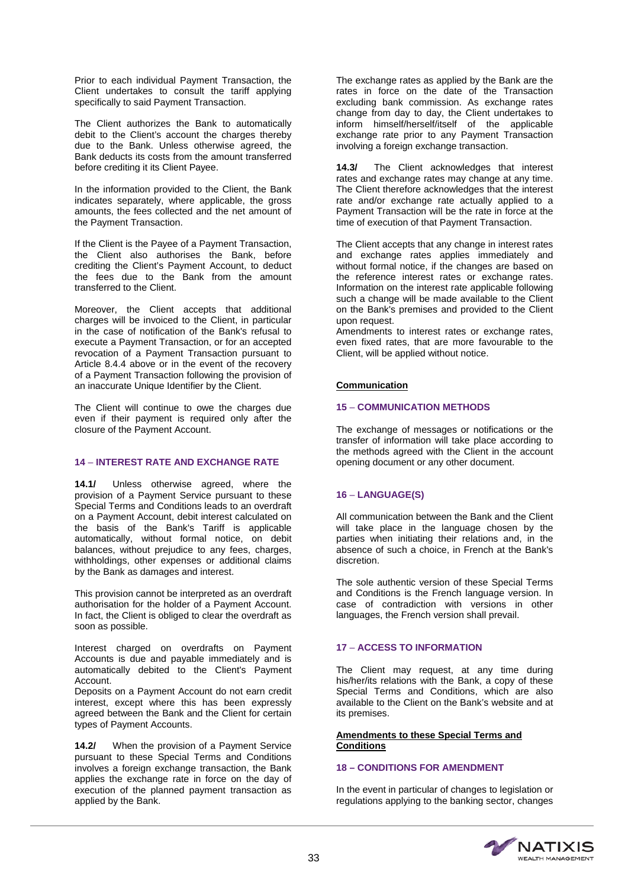Prior to each individual Payment Transaction, the Client undertakes to consult the tariff applying specifically to said Payment Transaction.

The Client authorizes the Bank to automatically debit to the Client's account the charges thereby due to the Bank. Unless otherwise agreed, the Bank deducts its costs from the amount transferred before crediting it its Client Payee.

In the information provided to the Client, the Bank indicates separately, where applicable, the gross amounts, the fees collected and the net amount of the Payment Transaction.

If the Client is the Payee of a Payment Transaction, the Client also authorises the Bank, before crediting the Client's Payment Account, to deduct the fees due to the Bank from the amount transferred to the Client.

Moreover, the Client accepts that additional charges will be invoiced to the Client, in particular in the case of notification of the Bank's refusal to execute a Payment Transaction, or for an accepted revocation of a Payment Transaction pursuant to Article 8.4.4 above or in the event of the recovery of a Payment Transaction following the provision of an inaccurate Unique Identifier by the Client.

The Client will continue to owe the charges due even if their payment is required only after the closure of the Payment Account.

# **14** – **INTEREST RATE AND EXCHANGE RATE**

**14.1/** Unless otherwise agreed, where the provision of a Payment Service pursuant to these Special Terms and Conditions leads to an overdraft on a Payment Account, debit interest calculated on the basis of the Bank's Tariff is applicable automatically, without formal notice, on debit balances, without prejudice to any fees, charges, withholdings, other expenses or additional claims by the Bank as damages and interest.

This provision cannot be interpreted as an overdraft authorisation for the holder of a Payment Account. In fact, the Client is obliged to clear the overdraft as soon as possible.

Interest charged on overdrafts on Payment Accounts is due and payable immediately and is automatically debited to the Client's Payment Account.

Deposits on a Payment Account do not earn credit interest, except where this has been expressly agreed between the Bank and the Client for certain types of Payment Accounts.

**14.2/** When the provision of a Payment Service pursuant to these Special Terms and Conditions involves a foreign exchange transaction, the Bank applies the exchange rate in force on the day of execution of the planned payment transaction as applied by the Bank.

The exchange rates as applied by the Bank are the rates in force on the date of the Transaction excluding bank commission. As exchange rates change from day to day, the Client undertakes to inform himself/herself/itself of the applicable exchange rate prior to any Payment Transaction involving a foreign exchange transaction.

**14.3/** The Client acknowledges that interest rates and exchange rates may change at any time. The Client therefore acknowledges that the interest rate and/or exchange rate actually applied to a Payment Transaction will be the rate in force at the time of execution of that Payment Transaction.

The Client accepts that any change in interest rates and exchange rates applies immediately and without formal notice, if the changes are based on the reference interest rates or exchange rates. Information on the interest rate applicable following such a change will be made available to the Client on the Bank's premises and provided to the Client upon request.

Amendments to interest rates or exchange rates, even fixed rates, that are more favourable to the Client, will be applied without notice.

# **Communication**

# **15** – **COMMUNICATION METHODS**

The exchange of messages or notifications or the transfer of information will take place according to the methods agreed with the Client in the account opening document or any other document.

# **16** – **LANGUAGE(S)**

All communication between the Bank and the Client will take place in the language chosen by the parties when initiating their relations and, in the absence of such a choice, in French at the Bank's discretion.

The sole authentic version of these Special Terms and Conditions is the French language version. In case of contradiction with versions in other languages, the French version shall prevail.

# **17** – **ACCESS TO INFORMATION**

The Client may request, at any time during his/her/its relations with the Bank, a copy of these Special Terms and Conditions, which are also available to the Client on the Bank's website and at its premises.

# **Amendments to these Special Terms and Conditions**

# **18 – CONDITIONS FOR AMENDMENT**

In the event in particular of changes to legislation or regulations applying to the banking sector, changes

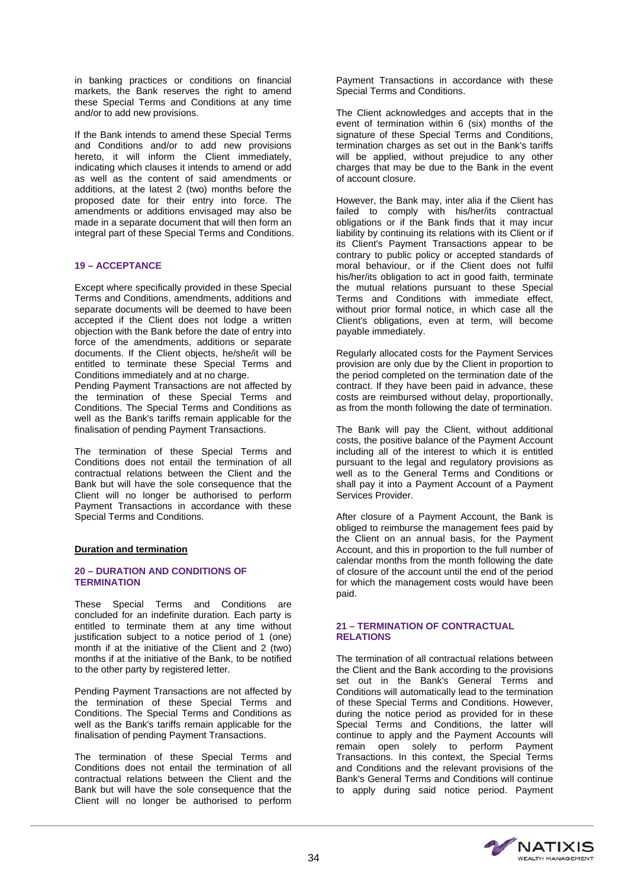in banking practices or conditions on financial markets, the Bank reserves the right to amend these Special Terms and Conditions at any time and/or to add new provisions.

If the Bank intends to amend these Special Terms and Conditions and/or to add new provisions hereto, it will inform the Client immediately, indicating which clauses it intends to amend or add as well as the content of said amendments or additions, at the latest 2 (two) months before the proposed date for their entry into force. The amendments or additions envisaged may also be made in a separate document that will then form an integral part of these Special Terms and Conditions.

# **19 – ACCEPTANCE**

Except where specifically provided in these Special Terms and Conditions, amendments, additions and separate documents will be deemed to have been accepted if the Client does not lodge a written objection with the Bank before the date of entry into force of the amendments, additions or separate documents. If the Client objects, he/she/it will be entitled to terminate these Special Terms and Conditions immediately and at no charge.

Pending Payment Transactions are not affected by the termination of these Special Terms and Conditions. The Special Terms and Conditions as well as the Bank's tariffs remain applicable for the finalisation of pending Payment Transactions.

The termination of these Special Terms and Conditions does not entail the termination of all contractual relations between the Client and the Bank but will have the sole consequence that the Client will no longer be authorised to perform Payment Transactions in accordance with these Special Terms and Conditions.

#### **Duration and termination**

#### **20 – DURATION AND CONDITIONS OF TERMINATION**

These Special Terms and Conditions are concluded for an indefinite duration. Each party is entitled to terminate them at any time without justification subject to a notice period of 1 (one) month if at the initiative of the Client and 2 (two) months if at the initiative of the Bank, to be notified to the other party by registered letter.

Pending Payment Transactions are not affected by the termination of these Special Terms and Conditions. The Special Terms and Conditions as well as the Bank's tariffs remain applicable for the finalisation of pending Payment Transactions.

The termination of these Special Terms and Conditions does not entail the termination of all contractual relations between the Client and the Bank but will have the sole consequence that the Client will no longer be authorised to perform

Payment Transactions in accordance with these Special Terms and Conditions.

The Client acknowledges and accepts that in the event of termination within 6 (six) months of the signature of these Special Terms and Conditions, termination charges as set out in the Bank's tariffs will be applied, without prejudice to any other charges that may be due to the Bank in the event of account closure.

However, the Bank may, inter alia if the Client has failed to comply with his/her/its contractual obligations or if the Bank finds that it may incur liability by continuing its relations with its Client or if its Client's Payment Transactions appear to be contrary to public policy or accepted standards of moral behaviour, or if the Client does not fulfil his/her/its obligation to act in good faith, terminate the mutual relations pursuant to these Special Terms and Conditions with immediate effect, without prior formal notice, in which case all the Client's obligations, even at term, will become payable immediately.

Regularly allocated costs for the Payment Services provision are only due by the Client in proportion to the period completed on the termination date of the contract. If they have been paid in advance, these costs are reimbursed without delay, proportionally, as from the month following the date of termination.

The Bank will pay the Client, without additional costs, the positive balance of the Payment Account including all of the interest to which it is entitled pursuant to the legal and regulatory provisions as well as to the General Terms and Conditions or shall pay it into a Payment Account of a Payment Services Provider.

After closure of a Payment Account, the Bank is obliged to reimburse the management fees paid by the Client on an annual basis, for the Payment Account, and this in proportion to the full number of calendar months from the month following the date of closure of the account until the end of the period for which the management costs would have been paid.

#### **21 – TERMINATION OF CONTRACTUAL RELATIONS**

The termination of all contractual relations between the Client and the Bank according to the provisions set out in the Bank's General Terms and Conditions will automatically lead to the termination of these Special Terms and Conditions. However, during the notice period as provided for in these Special Terms and Conditions, the latter will continue to apply and the Payment Accounts will remain open solely to perform Payment Transactions. In this context, the Special Terms and Conditions and the relevant provisions of the Bank's General Terms and Conditions will continue to apply during said notice period. Payment